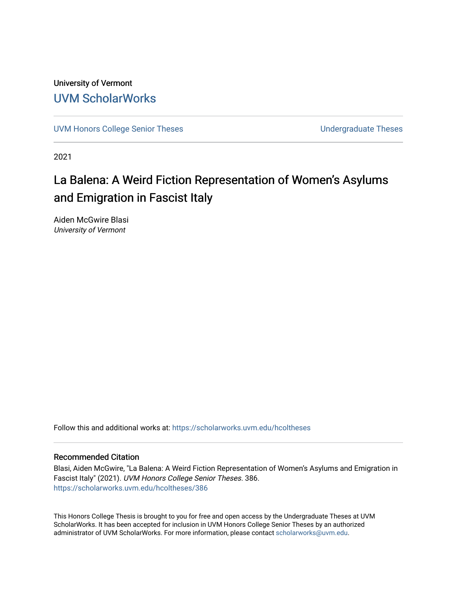University of Vermont [UVM ScholarWorks](https://scholarworks.uvm.edu/)

[UVM Honors College Senior Theses](https://scholarworks.uvm.edu/hcoltheses) **Exercise Sension College Senior Theses** Undergraduate Theses

2021

## La Balena: A Weird Fiction Representation of Women's Asylums and Emigration in Fascist Italy

Aiden McGwire Blasi University of Vermont

Follow this and additional works at: [https://scholarworks.uvm.edu/hcoltheses](https://scholarworks.uvm.edu/hcoltheses?utm_source=scholarworks.uvm.edu%2Fhcoltheses%2F386&utm_medium=PDF&utm_campaign=PDFCoverPages) 

## Recommended Citation

Blasi, Aiden McGwire, "La Balena: A Weird Fiction Representation of Women's Asylums and Emigration in Fascist Italy" (2021). UVM Honors College Senior Theses. 386. [https://scholarworks.uvm.edu/hcoltheses/386](https://scholarworks.uvm.edu/hcoltheses/386?utm_source=scholarworks.uvm.edu%2Fhcoltheses%2F386&utm_medium=PDF&utm_campaign=PDFCoverPages) 

This Honors College Thesis is brought to you for free and open access by the Undergraduate Theses at UVM ScholarWorks. It has been accepted for inclusion in UVM Honors College Senior Theses by an authorized administrator of UVM ScholarWorks. For more information, please contact [scholarworks@uvm.edu](mailto:scholarworks@uvm.edu).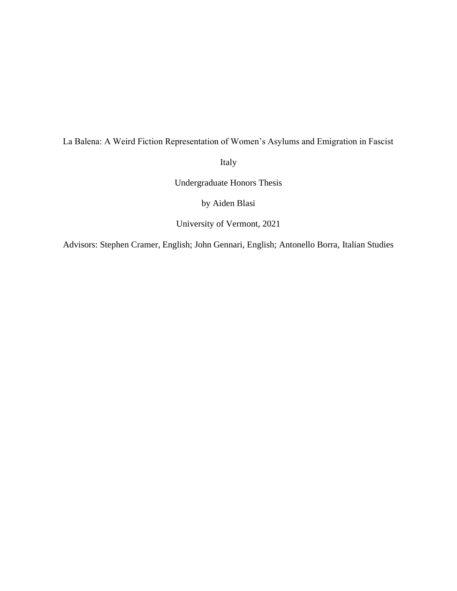## La Balena: A Weird Fiction Representation of Women's Asylums and Emigration in Fascist

Italy

Undergraduate Honors Thesis

by Aiden Blasi

University of Vermont, 2021

Advisors: Stephen Cramer, English; John Gennari, English; Antonello Borra, Italian Studies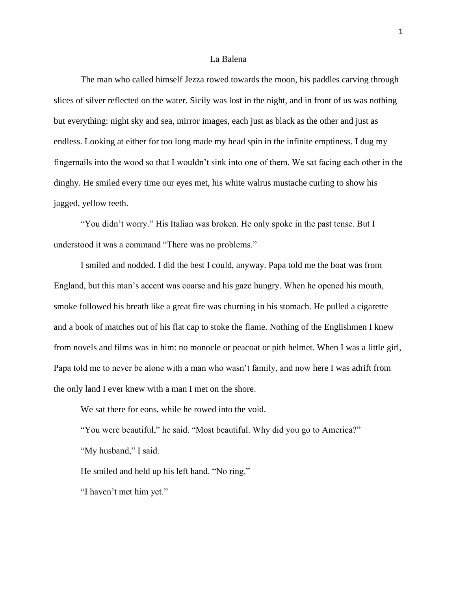## La Balena

The man who called himself Jezza rowed towards the moon, his paddles carving through slices of silver reflected on the water. Sicily was lost in the night, and in front of us was nothing but everything: night sky and sea, mirror images, each just as black as the other and just as endless. Looking at either for too long made my head spin in the infinite emptiness. I dug my fingernails into the wood so that I wouldn't sink into one of them. We sat facing each other in the dinghy. He smiled every time our eyes met, his white walrus mustache curling to show his jagged, yellow teeth.

"You didn't worry." His Italian was broken. He only spoke in the past tense. But I understood it was a command "There was no problems."

I smiled and nodded. I did the best I could, anyway. Papa told me the boat was from England, but this man's accent was coarse and his gaze hungry. When he opened his mouth, smoke followed his breath like a great fire was churning in his stomach. He pulled a cigarette and a book of matches out of his flat cap to stoke the flame. Nothing of the Englishmen I knew from novels and films was in him: no monocle or peacoat or pith helmet. When I was a little girl, Papa told me to never be alone with a man who wasn't family, and now here I was adrift from the only land I ever knew with a man I met on the shore.

We sat there for eons, while he rowed into the void.

"You were beautiful," he said. "Most beautiful. Why did you go to America?"

"My husband," I said.

He smiled and held up his left hand. "No ring."

"I haven't met him yet."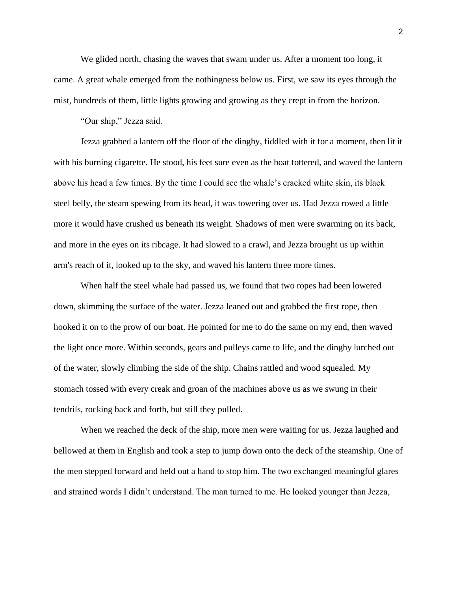We glided north, chasing the waves that swam under us. After a moment too long, it came. A great whale emerged from the nothingness below us. First, we saw its eyes through the mist, hundreds of them, little lights growing and growing as they crept in from the horizon.

"Our ship," Jezza said.

Jezza grabbed a lantern off the floor of the dinghy, fiddled with it for a moment, then lit it with his burning cigarette. He stood, his feet sure even as the boat tottered, and waved the lantern above his head a few times. By the time I could see the whale's cracked white skin, its black steel belly, the steam spewing from its head, it was towering over us. Had Jezza rowed a little more it would have crushed us beneath its weight. Shadows of men were swarming on its back, and more in the eyes on its ribcage. It had slowed to a crawl, and Jezza brought us up within arm's reach of it, looked up to the sky, and waved his lantern three more times.

When half the steel whale had passed us, we found that two ropes had been lowered down, skimming the surface of the water. Jezza leaned out and grabbed the first rope, then hooked it on to the prow of our boat. He pointed for me to do the same on my end, then waved the light once more. Within seconds, gears and pulleys came to life, and the dinghy lurched out of the water, slowly climbing the side of the ship. Chains rattled and wood squealed. My stomach tossed with every creak and groan of the machines above us as we swung in their tendrils, rocking back and forth, but still they pulled.

When we reached the deck of the ship, more men were waiting for us. Jezza laughed and bellowed at them in English and took a step to jump down onto the deck of the steamship. One of the men stepped forward and held out a hand to stop him. The two exchanged meaningful glares and strained words I didn't understand. The man turned to me. He looked younger than Jezza,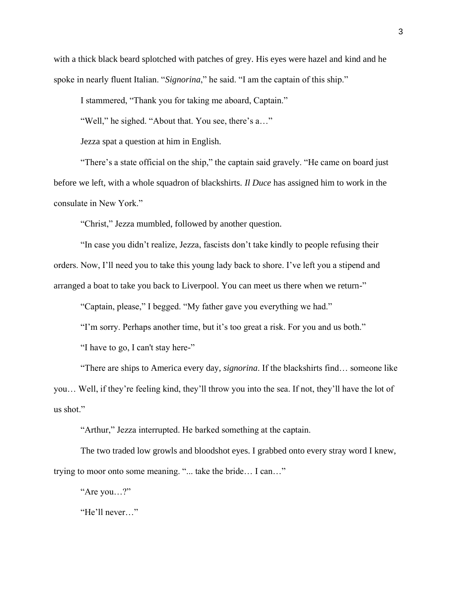with a thick black beard splotched with patches of grey. His eyes were hazel and kind and he spoke in nearly fluent Italian. "*Signorina*," he said. "I am the captain of this ship."

I stammered, "Thank you for taking me aboard, Captain."

"Well," he sighed. "About that. You see, there's a..."

Jezza spat a question at him in English.

"There's a state official on the ship," the captain said gravely. "He came on board just before we left, with a whole squadron of blackshirts. *Il Duce* has assigned him to work in the consulate in New York."

"Christ," Jezza mumbled, followed by another question.

"In case you didn't realize, Jezza, fascists don't take kindly to people refusing their orders. Now, I'll need you to take this young lady back to shore. I've left you a stipend and arranged a boat to take you back to Liverpool. You can meet us there when we return-"

"Captain, please," I begged. "My father gave you everything we had."

"I'm sorry. Perhaps another time, but it's too great a risk. For you and us both."

"I have to go, I can't stay here-"

"There are ships to America every day, *signorina*. If the blackshirts find… someone like you… Well, if they're feeling kind, they'll throw you into the sea. If not, they'll have the lot of us shot."

"Arthur," Jezza interrupted. He barked something at the captain.

The two traded low growls and bloodshot eyes. I grabbed onto every stray word I knew, trying to moor onto some meaning. "... take the bride… I can…"

"Are you…?"

"He'll never…"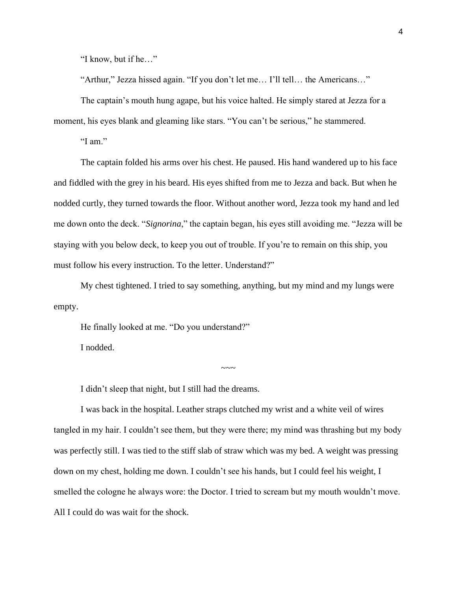"I know, but if he…"

"Arthur," Jezza hissed again. "If you don't let me… I'll tell… the Americans…"

The captain's mouth hung agape, but his voice halted. He simply stared at Jezza for a moment, his eyes blank and gleaming like stars. "You can't be serious," he stammered.

"I am."

The captain folded his arms over his chest. He paused. His hand wandered up to his face and fiddled with the grey in his beard. His eyes shifted from me to Jezza and back. But when he nodded curtly, they turned towards the floor. Without another word, Jezza took my hand and led me down onto the deck. "*Signorina*," the captain began, his eyes still avoiding me. "Jezza will be staying with you below deck, to keep you out of trouble. If you're to remain on this ship, you must follow his every instruction. To the letter. Understand?"

My chest tightened. I tried to say something, anything, but my mind and my lungs were empty.

 $\sim\sim\sim$ 

He finally looked at me. "Do you understand?"

I nodded.

I didn't sleep that night, but I still had the dreams.

I was back in the hospital. Leather straps clutched my wrist and a white veil of wires tangled in my hair. I couldn't see them, but they were there; my mind was thrashing but my body was perfectly still. I was tied to the stiff slab of straw which was my bed. A weight was pressing down on my chest, holding me down. I couldn't see his hands, but I could feel his weight, I smelled the cologne he always wore: the Doctor. I tried to scream but my mouth wouldn't move. All I could do was wait for the shock.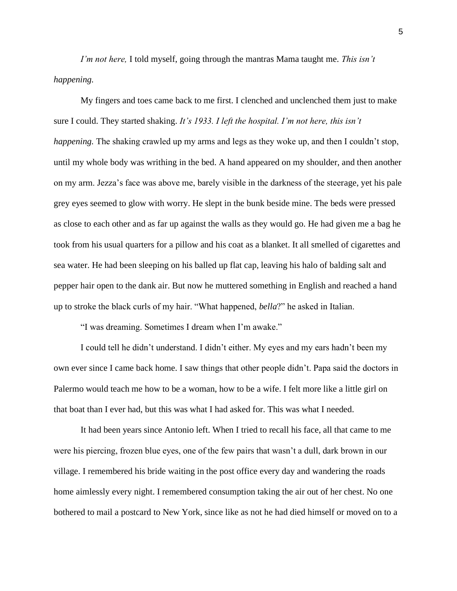*I'm not here,* I told myself, going through the mantras Mama taught me. *This isn't happening.*

My fingers and toes came back to me first. I clenched and unclenched them just to make sure I could. They started shaking. *It's 1933. I left the hospital. I'm not here, this isn't happening.* The shaking crawled up my arms and legs as they woke up, and then I couldn't stop, until my whole body was writhing in the bed. A hand appeared on my shoulder, and then another on my arm. Jezza's face was above me, barely visible in the darkness of the steerage, yet his pale grey eyes seemed to glow with worry. He slept in the bunk beside mine. The beds were pressed as close to each other and as far up against the walls as they would go. He had given me a bag he took from his usual quarters for a pillow and his coat as a blanket. It all smelled of cigarettes and sea water. He had been sleeping on his balled up flat cap, leaving his halo of balding salt and pepper hair open to the dank air. But now he muttered something in English and reached a hand up to stroke the black curls of my hair. "What happened, *bella*?" he asked in Italian.

"I was dreaming. Sometimes I dream when I'm awake."

I could tell he didn't understand. I didn't either. My eyes and my ears hadn't been my own ever since I came back home. I saw things that other people didn't. Papa said the doctors in Palermo would teach me how to be a woman, how to be a wife. I felt more like a little girl on that boat than I ever had, but this was what I had asked for. This was what I needed.

It had been years since Antonio left. When I tried to recall his face, all that came to me were his piercing, frozen blue eyes, one of the few pairs that wasn't a dull, dark brown in our village. I remembered his bride waiting in the post office every day and wandering the roads home aimlessly every night. I remembered consumption taking the air out of her chest. No one bothered to mail a postcard to New York, since like as not he had died himself or moved on to a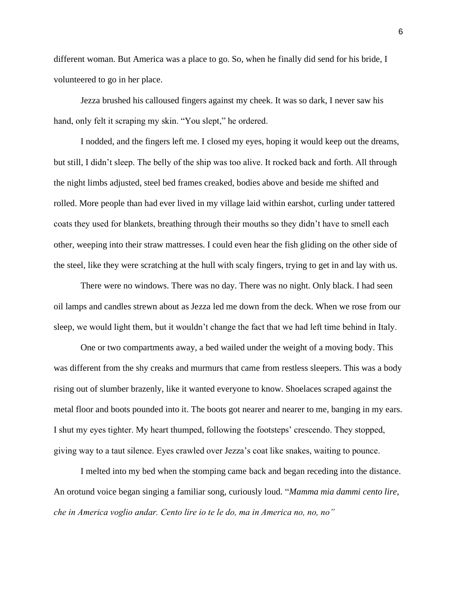different woman. But America was a place to go. So, when he finally did send for his bride, I volunteered to go in her place.

Jezza brushed his calloused fingers against my cheek. It was so dark, I never saw his hand, only felt it scraping my skin. "You slept," he ordered.

I nodded, and the fingers left me. I closed my eyes, hoping it would keep out the dreams, but still, I didn't sleep. The belly of the ship was too alive. It rocked back and forth. All through the night limbs adjusted, steel bed frames creaked, bodies above and beside me shifted and rolled. More people than had ever lived in my village laid within earshot, curling under tattered coats they used for blankets, breathing through their mouths so they didn't have to smell each other, weeping into their straw mattresses. I could even hear the fish gliding on the other side of the steel, like they were scratching at the hull with scaly fingers, trying to get in and lay with us.

There were no windows. There was no day. There was no night. Only black. I had seen oil lamps and candles strewn about as Jezza led me down from the deck. When we rose from our sleep, we would light them, but it wouldn't change the fact that we had left time behind in Italy.

One or two compartments away, a bed wailed under the weight of a moving body. This was different from the shy creaks and murmurs that came from restless sleepers. This was a body rising out of slumber brazenly, like it wanted everyone to know. Shoelaces scraped against the metal floor and boots pounded into it. The boots got nearer and nearer to me, banging in my ears. I shut my eyes tighter. My heart thumped, following the footsteps' crescendo. They stopped, giving way to a taut silence. Eyes crawled over Jezza's coat like snakes, waiting to pounce.

I melted into my bed when the stomping came back and began receding into the distance. An orotund voice began singing a familiar song, curiously loud. "*Mamma mia dammi cento lire, che in America voglio andar. Cento lire io te le do, ma in America no, no, no"*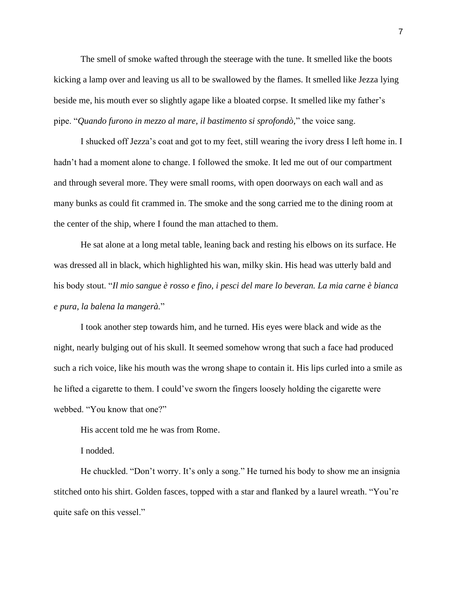The smell of smoke wafted through the steerage with the tune. It smelled like the boots kicking a lamp over and leaving us all to be swallowed by the flames. It smelled like Jezza lying beside me, his mouth ever so slightly agape like a bloated corpse. It smelled like my father's pipe. "*Quando furono in mezzo al mare, il bastimento si sprofondò,*" the voice sang.

I shucked off Jezza's coat and got to my feet, still wearing the ivory dress I left home in. I hadn't had a moment alone to change. I followed the smoke. It led me out of our compartment and through several more. They were small rooms, with open doorways on each wall and as many bunks as could fit crammed in. The smoke and the song carried me to the dining room at the center of the ship, where I found the man attached to them.

He sat alone at a long metal table, leaning back and resting his elbows on its surface. He was dressed all in black, which highlighted his wan, milky skin. His head was utterly bald and his body stout. "*Il mio sangue è rosso e fino, i pesci del mare lo beveran. La mia carne è bianca e pura, la balena la mangerà.*"

I took another step towards him, and he turned. His eyes were black and wide as the night, nearly bulging out of his skull. It seemed somehow wrong that such a face had produced such a rich voice, like his mouth was the wrong shape to contain it. His lips curled into a smile as he lifted a cigarette to them. I could've sworn the fingers loosely holding the cigarette were webbed. "You know that one?"

His accent told me he was from Rome.

I nodded.

He chuckled. "Don't worry. It's only a song." He turned his body to show me an insignia stitched onto his shirt. Golden fasces, topped with a star and flanked by a laurel wreath. "You're quite safe on this vessel."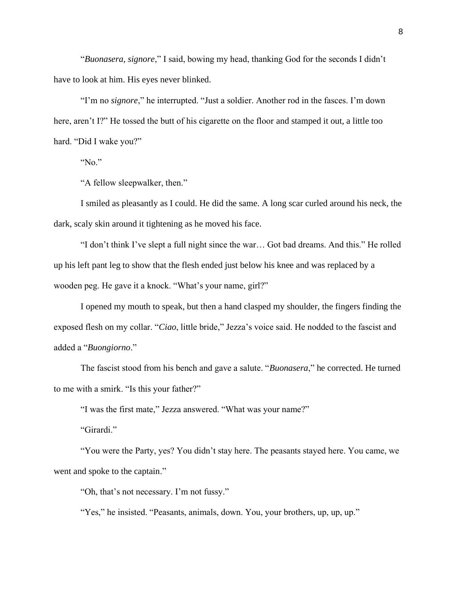"*Buonasera, signore*," I said, bowing my head, thanking God for the seconds I didn't have to look at him. His eyes never blinked.

"I'm no *signore*," he interrupted. "Just a soldier. Another rod in the fasces. I'm down here, aren't I?" He tossed the butt of his cigarette on the floor and stamped it out, a little too hard. "Did I wake you?"

"No."

"A fellow sleepwalker, then."

I smiled as pleasantly as I could. He did the same. A long scar curled around his neck, the dark, scaly skin around it tightening as he moved his face.

"I don't think I've slept a full night since the war… Got bad dreams. And this." He rolled up his left pant leg to show that the flesh ended just below his knee and was replaced by a wooden peg. He gave it a knock. "What's your name, girl?"

I opened my mouth to speak, but then a hand clasped my shoulder, the fingers finding the exposed flesh on my collar. "*Ciao*, little bride," Jezza's voice said. He nodded to the fascist and added a "*Buongiorno*."

The fascist stood from his bench and gave a salute. "*Buonasera*," he corrected. He turned to me with a smirk. "Is this your father?"

"I was the first mate," Jezza answered. "What was your name?"

"Girardi."

"You were the Party, yes? You didn't stay here. The peasants stayed here. You came, we went and spoke to the captain."

"Oh, that's not necessary. I'm not fussy."

"Yes," he insisted. "Peasants, animals, down. You, your brothers, up, up, up."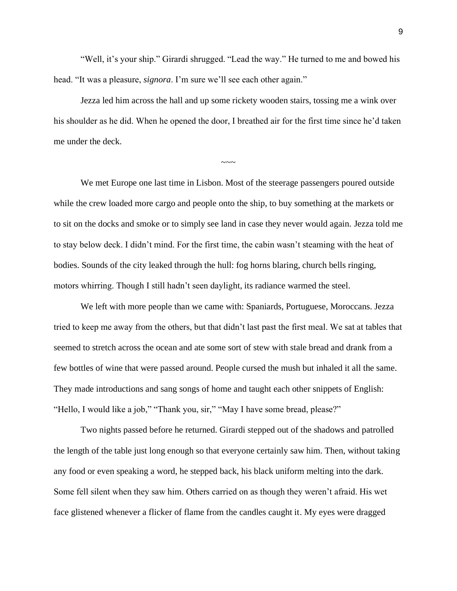"Well, it's your ship." Girardi shrugged. "Lead the way." He turned to me and bowed his head. "It was a pleasure, *signora*. I'm sure we'll see each other again."

Jezza led him across the hall and up some rickety wooden stairs, tossing me a wink over his shoulder as he did. When he opened the door, I breathed air for the first time since he'd taken me under the deck.

 $\sim\sim\sim$ 

We met Europe one last time in Lisbon. Most of the steerage passengers poured outside while the crew loaded more cargo and people onto the ship, to buy something at the markets or to sit on the docks and smoke or to simply see land in case they never would again. Jezza told me to stay below deck. I didn't mind. For the first time, the cabin wasn't steaming with the heat of bodies. Sounds of the city leaked through the hull: fog horns blaring, church bells ringing, motors whirring. Though I still hadn't seen daylight, its radiance warmed the steel.

We left with more people than we came with: Spaniards, Portuguese, Moroccans. Jezza tried to keep me away from the others, but that didn't last past the first meal. We sat at tables that seemed to stretch across the ocean and ate some sort of stew with stale bread and drank from a few bottles of wine that were passed around. People cursed the mush but inhaled it all the same. They made introductions and sang songs of home and taught each other snippets of English: "Hello, I would like a job," "Thank you, sir," "May I have some bread, please?"

Two nights passed before he returned. Girardi stepped out of the shadows and patrolled the length of the table just long enough so that everyone certainly saw him. Then, without taking any food or even speaking a word, he stepped back, his black uniform melting into the dark. Some fell silent when they saw him. Others carried on as though they weren't afraid. His wet face glistened whenever a flicker of flame from the candles caught it. My eyes were dragged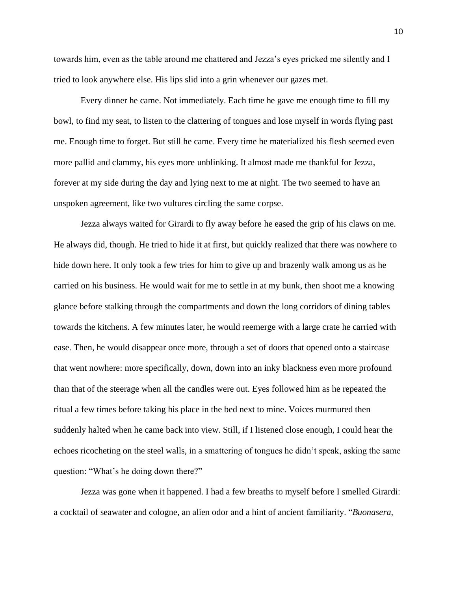towards him, even as the table around me chattered and Jezza's eyes pricked me silently and I tried to look anywhere else. His lips slid into a grin whenever our gazes met.

Every dinner he came. Not immediately. Each time he gave me enough time to fill my bowl, to find my seat, to listen to the clattering of tongues and lose myself in words flying past me. Enough time to forget. But still he came. Every time he materialized his flesh seemed even more pallid and clammy, his eyes more unblinking. It almost made me thankful for Jezza, forever at my side during the day and lying next to me at night. The two seemed to have an unspoken agreement, like two vultures circling the same corpse.

Jezza always waited for Girardi to fly away before he eased the grip of his claws on me. He always did, though. He tried to hide it at first, but quickly realized that there was nowhere to hide down here. It only took a few tries for him to give up and brazenly walk among us as he carried on his business. He would wait for me to settle in at my bunk, then shoot me a knowing glance before stalking through the compartments and down the long corridors of dining tables towards the kitchens. A few minutes later, he would reemerge with a large crate he carried with ease. Then, he would disappear once more, through a set of doors that opened onto a staircase that went nowhere: more specifically, down, down into an inky blackness even more profound than that of the steerage when all the candles were out. Eyes followed him as he repeated the ritual a few times before taking his place in the bed next to mine. Voices murmured then suddenly halted when he came back into view. Still, if I listened close enough, I could hear the echoes ricocheting on the steel walls, in a smattering of tongues he didn't speak, asking the same question: "What's he doing down there?"

Jezza was gone when it happened. I had a few breaths to myself before I smelled Girardi: a cocktail of seawater and cologne, an alien odor and a hint of ancient familiarity. "*Buonasera,*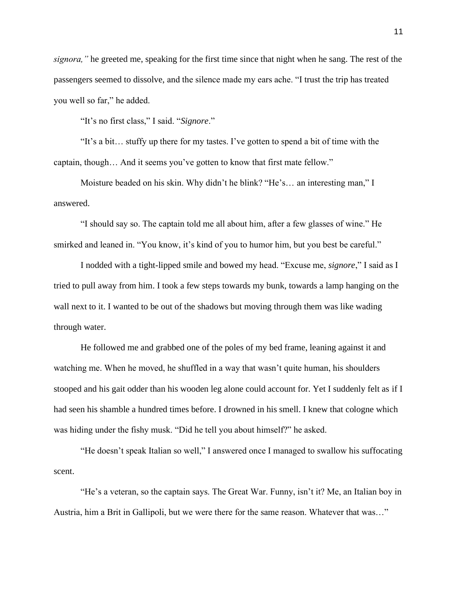*signora,"* he greeted me, speaking for the first time since that night when he sang. The rest of the passengers seemed to dissolve, and the silence made my ears ache. "I trust the trip has treated you well so far," he added.

"It's no first class," I said. "*Signore*."

"It's a bit… stuffy up there for my tastes. I've gotten to spend a bit of time with the captain, though… And it seems you've gotten to know that first mate fellow."

Moisture beaded on his skin. Why didn't he blink? "He's… an interesting man," I answered.

"I should say so. The captain told me all about him, after a few glasses of wine." He smirked and leaned in. "You know, it's kind of you to humor him, but you best be careful."

I nodded with a tight-lipped smile and bowed my head. "Excuse me, *signore*," I said as I tried to pull away from him. I took a few steps towards my bunk, towards a lamp hanging on the wall next to it. I wanted to be out of the shadows but moving through them was like wading through water.

He followed me and grabbed one of the poles of my bed frame, leaning against it and watching me. When he moved, he shuffled in a way that wasn't quite human, his shoulders stooped and his gait odder than his wooden leg alone could account for. Yet I suddenly felt as if I had seen his shamble a hundred times before. I drowned in his smell. I knew that cologne which was hiding under the fishy musk. "Did he tell you about himself?" he asked.

"He doesn't speak Italian so well," I answered once I managed to swallow his suffocating scent.

"He's a veteran, so the captain says. The Great War. Funny, isn't it? Me, an Italian boy in Austria, him a Brit in Gallipoli, but we were there for the same reason. Whatever that was…"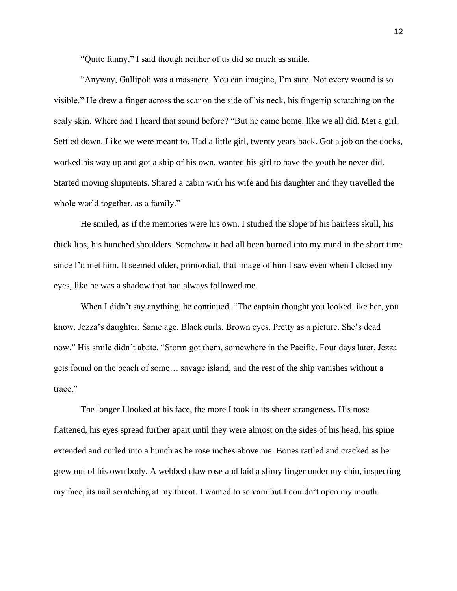"Quite funny," I said though neither of us did so much as smile.

"Anyway, Gallipoli was a massacre. You can imagine, I'm sure. Not every wound is so visible." He drew a finger across the scar on the side of his neck, his fingertip scratching on the scaly skin. Where had I heard that sound before? "But he came home, like we all did. Met a girl. Settled down. Like we were meant to. Had a little girl, twenty years back. Got a job on the docks, worked his way up and got a ship of his own, wanted his girl to have the youth he never did. Started moving shipments. Shared a cabin with his wife and his daughter and they travelled the whole world together, as a family."

He smiled, as if the memories were his own. I studied the slope of his hairless skull, his thick lips, his hunched shoulders. Somehow it had all been burned into my mind in the short time since I'd met him. It seemed older, primordial, that image of him I saw even when I closed my eyes, like he was a shadow that had always followed me.

When I didn't say anything, he continued. "The captain thought you looked like her, you know. Jezza's daughter. Same age. Black curls. Brown eyes. Pretty as a picture. She's dead now." His smile didn't abate. "Storm got them, somewhere in the Pacific. Four days later, Jezza gets found on the beach of some… savage island, and the rest of the ship vanishes without a trace."

The longer I looked at his face, the more I took in its sheer strangeness. His nose flattened, his eyes spread further apart until they were almost on the sides of his head, his spine extended and curled into a hunch as he rose inches above me. Bones rattled and cracked as he grew out of his own body. A webbed claw rose and laid a slimy finger under my chin, inspecting my face, its nail scratching at my throat. I wanted to scream but I couldn't open my mouth.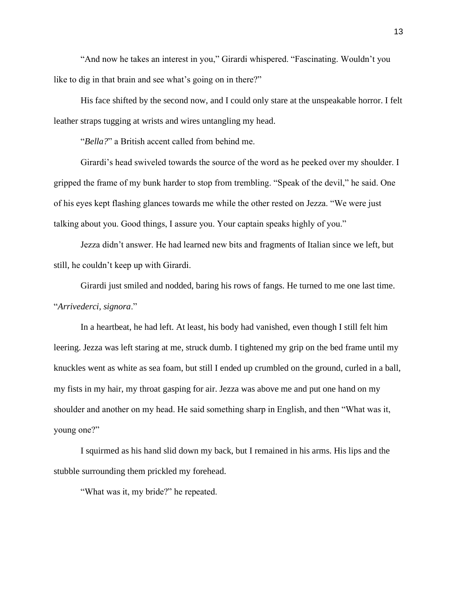"And now he takes an interest in you," Girardi whispered. "Fascinating. Wouldn't you like to dig in that brain and see what's going on in there?"

His face shifted by the second now, and I could only stare at the unspeakable horror. I felt leather straps tugging at wrists and wires untangling my head.

"*Bella?*" a British accent called from behind me.

Girardi's head swiveled towards the source of the word as he peeked over my shoulder. I gripped the frame of my bunk harder to stop from trembling. "Speak of the devil," he said. One of his eyes kept flashing glances towards me while the other rested on Jezza. "We were just talking about you. Good things, I assure you. Your captain speaks highly of you."

Jezza didn't answer. He had learned new bits and fragments of Italian since we left, but still, he couldn't keep up with Girardi.

Girardi just smiled and nodded, baring his rows of fangs. He turned to me one last time. "*Arrivederci, signora*."

In a heartbeat, he had left. At least, his body had vanished, even though I still felt him leering. Jezza was left staring at me, struck dumb. I tightened my grip on the bed frame until my knuckles went as white as sea foam, but still I ended up crumbled on the ground, curled in a ball, my fists in my hair, my throat gasping for air. Jezza was above me and put one hand on my shoulder and another on my head. He said something sharp in English, and then "What was it, young one?"

I squirmed as his hand slid down my back, but I remained in his arms. His lips and the stubble surrounding them prickled my forehead.

"What was it, my bride?" he repeated.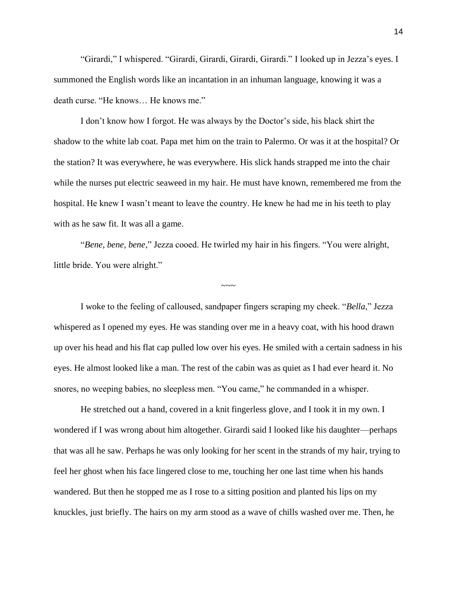"Girardi," I whispered. "Girardi, Girardi, Girardi, Girardi." I looked up in Jezza's eyes. I summoned the English words like an incantation in an inhuman language, knowing it was a death curse. "He knows… He knows me."

I don't know how I forgot. He was always by the Doctor's side, his black shirt the shadow to the white lab coat. Papa met him on the train to Palermo. Or was it at the hospital? Or the station? It was everywhere, he was everywhere. His slick hands strapped me into the chair while the nurses put electric seaweed in my hair. He must have known, remembered me from the hospital. He knew I wasn't meant to leave the country. He knew he had me in his teeth to play with as he saw fit. It was all a game.

"*Bene, bene, bene*," Jezza cooed. He twirled my hair in his fingers. "You were alright, little bride. You were alright."

I woke to the feeling of calloused, sandpaper fingers scraping my cheek. "*Bella*," Jezza whispered as I opened my eyes. He was standing over me in a heavy coat, with his hood drawn up over his head and his flat cap pulled low over his eyes. He smiled with a certain sadness in his eyes. He almost looked like a man. The rest of the cabin was as quiet as I had ever heard it. No snores, no weeping babies, no sleepless men. "You came," he commanded in a whisper.

 $\sim\sim\sim$ 

He stretched out a hand, covered in a knit fingerless glove, and I took it in my own. I wondered if I was wrong about him altogether. Girardi said I looked like his daughter—perhaps that was all he saw. Perhaps he was only looking for her scent in the strands of my hair, trying to feel her ghost when his face lingered close to me, touching her one last time when his hands wandered. But then he stopped me as I rose to a sitting position and planted his lips on my knuckles, just briefly. The hairs on my arm stood as a wave of chills washed over me. Then, he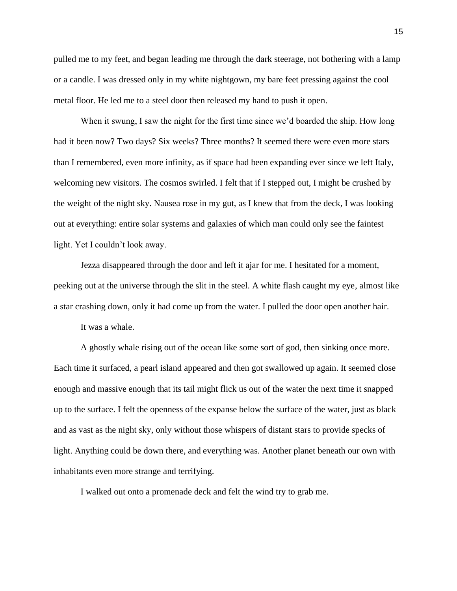pulled me to my feet, and began leading me through the dark steerage, not bothering with a lamp or a candle. I was dressed only in my white nightgown, my bare feet pressing against the cool metal floor. He led me to a steel door then released my hand to push it open.

When it swung, I saw the night for the first time since we'd boarded the ship. How long had it been now? Two days? Six weeks? Three months? It seemed there were even more stars than I remembered, even more infinity, as if space had been expanding ever since we left Italy, welcoming new visitors. The cosmos swirled. I felt that if I stepped out, I might be crushed by the weight of the night sky. Nausea rose in my gut, as I knew that from the deck, I was looking out at everything: entire solar systems and galaxies of which man could only see the faintest light. Yet I couldn't look away.

Jezza disappeared through the door and left it ajar for me. I hesitated for a moment, peeking out at the universe through the slit in the steel. A white flash caught my eye, almost like a star crashing down, only it had come up from the water. I pulled the door open another hair.

It was a whale.

A ghostly whale rising out of the ocean like some sort of god, then sinking once more. Each time it surfaced, a pearl island appeared and then got swallowed up again. It seemed close enough and massive enough that its tail might flick us out of the water the next time it snapped up to the surface. I felt the openness of the expanse below the surface of the water, just as black and as vast as the night sky, only without those whispers of distant stars to provide specks of light. Anything could be down there, and everything was. Another planet beneath our own with inhabitants even more strange and terrifying.

I walked out onto a promenade deck and felt the wind try to grab me.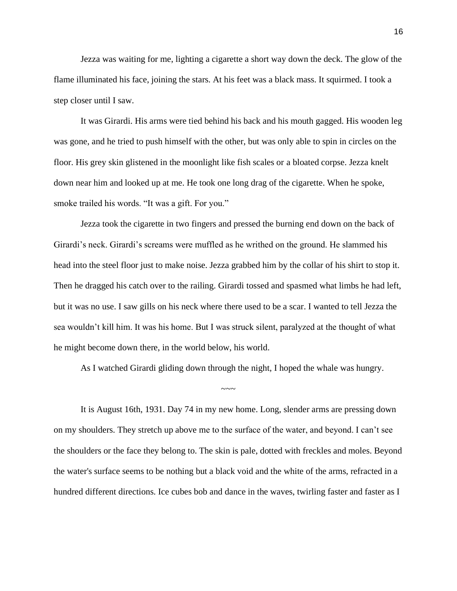Jezza was waiting for me, lighting a cigarette a short way down the deck. The glow of the flame illuminated his face, joining the stars. At his feet was a black mass. It squirmed. I took a step closer until I saw.

It was Girardi. His arms were tied behind his back and his mouth gagged. His wooden leg was gone, and he tried to push himself with the other, but was only able to spin in circles on the floor. His grey skin glistened in the moonlight like fish scales or a bloated corpse. Jezza knelt down near him and looked up at me. He took one long drag of the cigarette. When he spoke, smoke trailed his words. "It was a gift. For you."

Jezza took the cigarette in two fingers and pressed the burning end down on the back of Girardi's neck. Girardi's screams were muffled as he writhed on the ground. He slammed his head into the steel floor just to make noise. Jezza grabbed him by the collar of his shirt to stop it. Then he dragged his catch over to the railing. Girardi tossed and spasmed what limbs he had left, but it was no use. I saw gills on his neck where there used to be a scar. I wanted to tell Jezza the sea wouldn't kill him. It was his home. But I was struck silent, paralyzed at the thought of what he might become down there, in the world below, his world.

As I watched Girardi gliding down through the night, I hoped the whale was hungry.

~~~~~

It is August 16th, 1931. Day 74 in my new home. Long, slender arms are pressing down on my shoulders. They stretch up above me to the surface of the water, and beyond. I can't see the shoulders or the face they belong to. The skin is pale, dotted with freckles and moles. Beyond the water's surface seems to be nothing but a black void and the white of the arms, refracted in a hundred different directions. Ice cubes bob and dance in the waves, twirling faster and faster as I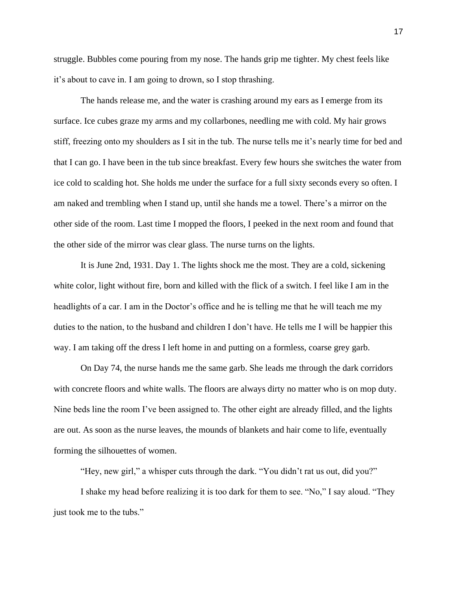struggle. Bubbles come pouring from my nose. The hands grip me tighter. My chest feels like it's about to cave in. I am going to drown, so I stop thrashing.

The hands release me, and the water is crashing around my ears as I emerge from its surface. Ice cubes graze my arms and my collarbones, needling me with cold. My hair grows stiff, freezing onto my shoulders as I sit in the tub. The nurse tells me it's nearly time for bed and that I can go. I have been in the tub since breakfast. Every few hours she switches the water from ice cold to scalding hot. She holds me under the surface for a full sixty seconds every so often. I am naked and trembling when I stand up, until she hands me a towel. There's a mirror on the other side of the room. Last time I mopped the floors, I peeked in the next room and found that the other side of the mirror was clear glass. The nurse turns on the lights.

It is June 2nd, 1931. Day 1. The lights shock me the most. They are a cold, sickening white color, light without fire, born and killed with the flick of a switch. I feel like I am in the headlights of a car. I am in the Doctor's office and he is telling me that he will teach me my duties to the nation, to the husband and children I don't have. He tells me I will be happier this way. I am taking off the dress I left home in and putting on a formless, coarse grey garb.

On Day 74, the nurse hands me the same garb. She leads me through the dark corridors with concrete floors and white walls. The floors are always dirty no matter who is on mop duty. Nine beds line the room I've been assigned to. The other eight are already filled, and the lights are out. As soon as the nurse leaves, the mounds of blankets and hair come to life, eventually forming the silhouettes of women.

"Hey, new girl," a whisper cuts through the dark. "You didn't rat us out, did you?"

I shake my head before realizing it is too dark for them to see. "No," I say aloud. "They just took me to the tubs."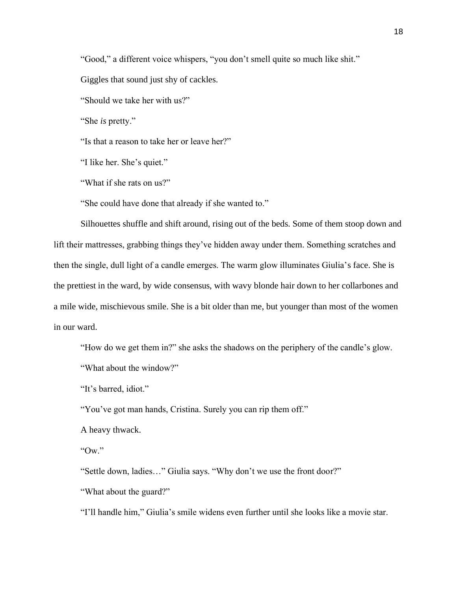"Good," a different voice whispers, "you don't smell quite so much like shit."

Giggles that sound just shy of cackles.

"Should we take her with us?"

"She *is* pretty."

"Is that a reason to take her or leave her?"

"I like her. She's quiet."

"What if she rats on us?"

"She could have done that already if she wanted to."

Silhouettes shuffle and shift around, rising out of the beds. Some of them stoop down and lift their mattresses, grabbing things they've hidden away under them. Something scratches and then the single, dull light of a candle emerges. The warm glow illuminates Giulia's face. She is the prettiest in the ward, by wide consensus, with wavy blonde hair down to her collarbones and a mile wide, mischievous smile. She is a bit older than me, but younger than most of the women in our ward.

"How do we get them in?" she asks the shadows on the periphery of the candle's glow.

"What about the window?"

"It's barred, idiot."

"You've got man hands, Cristina. Surely you can rip them off."

A heavy thwack.

"Ow."

"Settle down, ladies…" Giulia says. "Why don't we use the front door?"

"What about the guard?"

"I'll handle him," Giulia's smile widens even further until she looks like a movie star.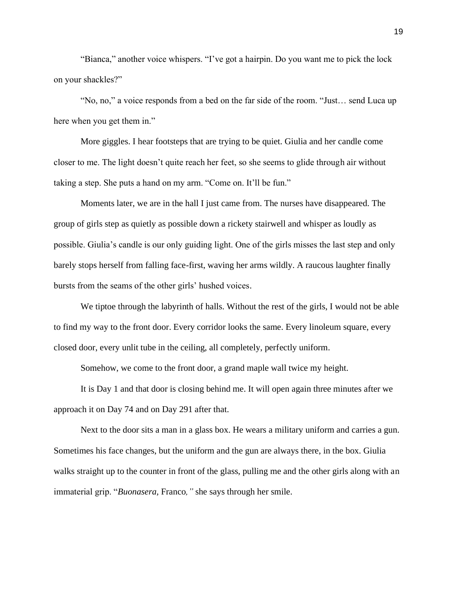"Bianca," another voice whispers. "I've got a hairpin. Do you want me to pick the lock on your shackles?"

"No, no," a voice responds from a bed on the far side of the room. "Just… send Luca up here when you get them in."

More giggles. I hear footsteps that are trying to be quiet. Giulia and her candle come closer to me. The light doesn't quite reach her feet, so she seems to glide through air without taking a step. She puts a hand on my arm. "Come on. It'll be fun."

Moments later, we are in the hall I just came from. The nurses have disappeared. The group of girls step as quietly as possible down a rickety stairwell and whisper as loudly as possible. Giulia's candle is our only guiding light. One of the girls misses the last step and only barely stops herself from falling face-first, waving her arms wildly. A raucous laughter finally bursts from the seams of the other girls' hushed voices.

We tiptoe through the labyrinth of halls. Without the rest of the girls, I would not be able to find my way to the front door. Every corridor looks the same. Every linoleum square, every closed door, every unlit tube in the ceiling, all completely, perfectly uniform.

Somehow, we come to the front door, a grand maple wall twice my height.

It is Day 1 and that door is closing behind me. It will open again three minutes after we approach it on Day 74 and on Day 291 after that.

Next to the door sits a man in a glass box. He wears a military uniform and carries a gun. Sometimes his face changes, but the uniform and the gun are always there, in the box. Giulia walks straight up to the counter in front of the glass, pulling me and the other girls along with an immaterial grip. "*Buonasera,* Franco*,"* she says through her smile.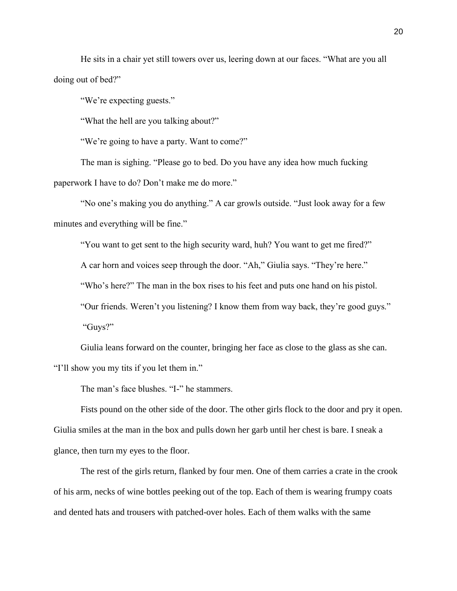He sits in a chair yet still towers over us, leering down at our faces. "What are you all doing out of bed?"

"We're expecting guests."

"What the hell are you talking about?"

"We're going to have a party. Want to come?"

The man is sighing. "Please go to bed. Do you have any idea how much fucking paperwork I have to do? Don't make me do more."

"No one's making you do anything." A car growls outside. "Just look away for a few minutes and everything will be fine."

"You want to get sent to the high security ward, huh? You want to get me fired?"

A car horn and voices seep through the door. "Ah," Giulia says. "They're here."

"Who's here?" The man in the box rises to his feet and puts one hand on his pistol.

"Our friends. Weren't you listening? I know them from way back, they're good guys."

"Guys?"

Giulia leans forward on the counter, bringing her face as close to the glass as she can. "I'll show you my tits if you let them in."

The man's face blushes. "I-" he stammers.

Fists pound on the other side of the door. The other girls flock to the door and pry it open. Giulia smiles at the man in the box and pulls down her garb until her chest is bare. I sneak a glance, then turn my eyes to the floor.

The rest of the girls return, flanked by four men. One of them carries a crate in the crook of his arm, necks of wine bottles peeking out of the top. Each of them is wearing frumpy coats and dented hats and trousers with patched-over holes. Each of them walks with the same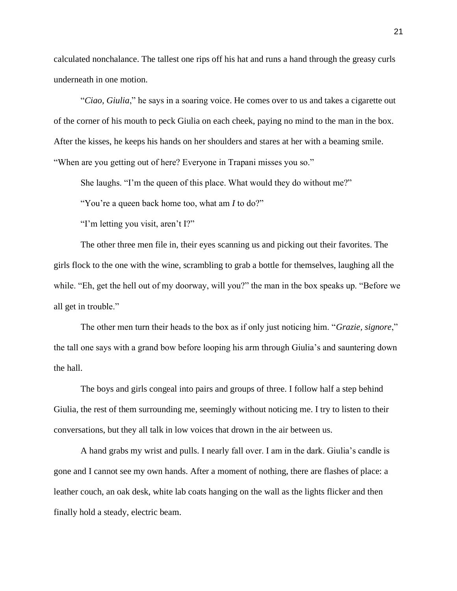calculated nonchalance. The tallest one rips off his hat and runs a hand through the greasy curls underneath in one motion.

"*Ciao, Giulia*," he says in a soaring voice. He comes over to us and takes a cigarette out of the corner of his mouth to peck Giulia on each cheek, paying no mind to the man in the box. After the kisses, he keeps his hands on her shoulders and stares at her with a beaming smile. "When are you getting out of here? Everyone in Trapani misses you so."

She laughs. "I'm the queen of this place. What would they do without me?"

"You're a queen back home too, what am *I* to do?"

"I'm letting you visit, aren't I?"

The other three men file in, their eyes scanning us and picking out their favorites. The girls flock to the one with the wine, scrambling to grab a bottle for themselves, laughing all the while. "Eh, get the hell out of my doorway, will you?" the man in the box speaks up. "Before we all get in trouble."

The other men turn their heads to the box as if only just noticing him. "*Grazie, signore*," the tall one says with a grand bow before looping his arm through Giulia's and sauntering down the hall.

The boys and girls congeal into pairs and groups of three. I follow half a step behind Giulia, the rest of them surrounding me, seemingly without noticing me. I try to listen to their conversations, but they all talk in low voices that drown in the air between us.

A hand grabs my wrist and pulls. I nearly fall over. I am in the dark. Giulia's candle is gone and I cannot see my own hands. After a moment of nothing, there are flashes of place: a leather couch, an oak desk, white lab coats hanging on the wall as the lights flicker and then finally hold a steady, electric beam.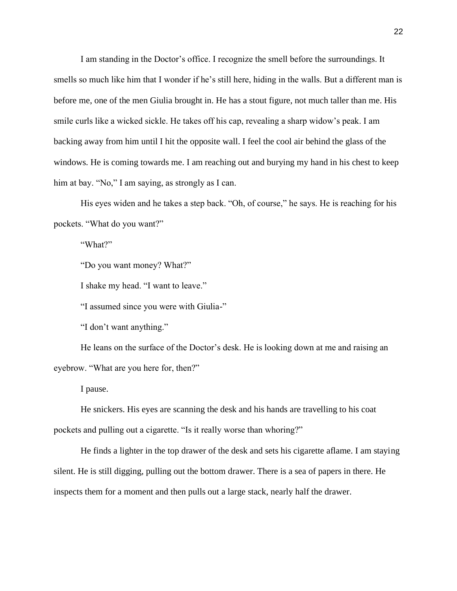I am standing in the Doctor's office. I recognize the smell before the surroundings. It smells so much like him that I wonder if he's still here, hiding in the walls. But a different man is before me, one of the men Giulia brought in. He has a stout figure, not much taller than me. His smile curls like a wicked sickle. He takes off his cap, revealing a sharp widow's peak. I am backing away from him until I hit the opposite wall. I feel the cool air behind the glass of the windows. He is coming towards me. I am reaching out and burying my hand in his chest to keep him at bay. "No," I am saying, as strongly as I can.

His eyes widen and he takes a step back. "Oh, of course," he says. He is reaching for his pockets. "What do you want?"

"What?"

"Do you want money? What?"

I shake my head. "I want to leave."

"I assumed since you were with Giulia-"

"I don't want anything."

He leans on the surface of the Doctor's desk. He is looking down at me and raising an eyebrow. "What are you here for, then?"

I pause.

He snickers. His eyes are scanning the desk and his hands are travelling to his coat pockets and pulling out a cigarette. "Is it really worse than whoring?"

He finds a lighter in the top drawer of the desk and sets his cigarette aflame. I am staying silent. He is still digging, pulling out the bottom drawer. There is a sea of papers in there. He inspects them for a moment and then pulls out a large stack, nearly half the drawer.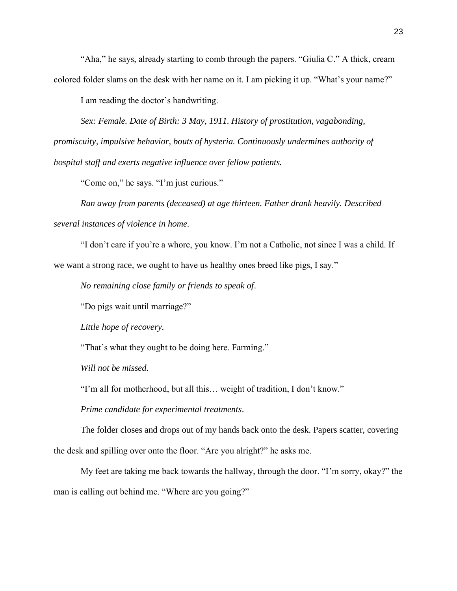"Aha," he says, already starting to comb through the papers. "Giulia C." A thick, cream colored folder slams on the desk with her name on it. I am picking it up. "What's your name?"

I am reading the doctor's handwriting.

*Sex: Female. Date of Birth: 3 May, 1911. History of prostitution, vagabonding, promiscuity, impulsive behavior, bouts of hysteria. Continuously undermines authority of hospital staff and exerts negative influence over fellow patients.*

"Come on," he says. "I'm just curious."

*Ran away from parents (deceased) at age thirteen. Father drank heavily. Described several instances of violence in home.*

"I don't care if you're a whore, you know. I'm not a Catholic, not since I was a child. If we want a strong race, we ought to have us healthy ones breed like pigs, I say."

*No remaining close family or friends to speak of*.

"Do pigs wait until marriage?"

*Little hope of recovery.*

"That's what they ought to be doing here. Farming."

*Will not be missed.*

"I'm all for motherhood, but all this… weight of tradition, I don't know."

*Prime candidate for experimental treatments*.

The folder closes and drops out of my hands back onto the desk. Papers scatter, covering the desk and spilling over onto the floor. "Are you alright?" he asks me.

My feet are taking me back towards the hallway, through the door. "I'm sorry, okay?" the man is calling out behind me. "Where are you going?"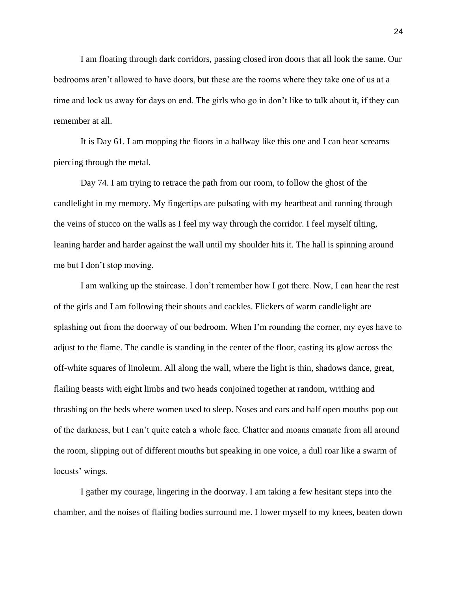I am floating through dark corridors, passing closed iron doors that all look the same. Our bedrooms aren't allowed to have doors, but these are the rooms where they take one of us at a time and lock us away for days on end. The girls who go in don't like to talk about it, if they can remember at all.

It is Day 61. I am mopping the floors in a hallway like this one and I can hear screams piercing through the metal.

Day 74. I am trying to retrace the path from our room, to follow the ghost of the candlelight in my memory. My fingertips are pulsating with my heartbeat and running through the veins of stucco on the walls as I feel my way through the corridor. I feel myself tilting, leaning harder and harder against the wall until my shoulder hits it. The hall is spinning around me but I don't stop moving.

I am walking up the staircase. I don't remember how I got there. Now, I can hear the rest of the girls and I am following their shouts and cackles. Flickers of warm candlelight are splashing out from the doorway of our bedroom. When I'm rounding the corner, my eyes have to adjust to the flame. The candle is standing in the center of the floor, casting its glow across the off-white squares of linoleum. All along the wall, where the light is thin, shadows dance, great, flailing beasts with eight limbs and two heads conjoined together at random, writhing and thrashing on the beds where women used to sleep. Noses and ears and half open mouths pop out of the darkness, but I can't quite catch a whole face. Chatter and moans emanate from all around the room, slipping out of different mouths but speaking in one voice, a dull roar like a swarm of locusts' wings.

I gather my courage, lingering in the doorway. I am taking a few hesitant steps into the chamber, and the noises of flailing bodies surround me. I lower myself to my knees, beaten down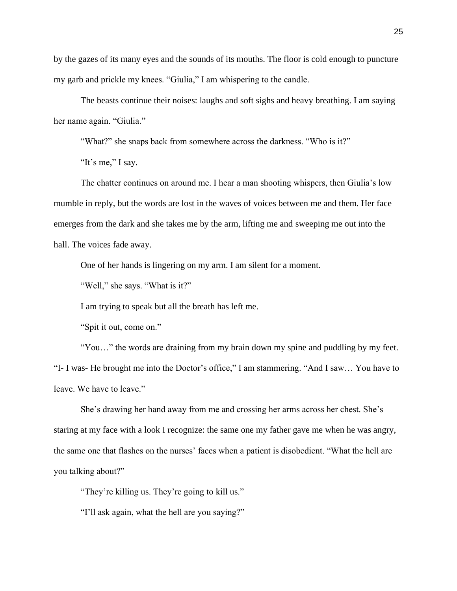by the gazes of its many eyes and the sounds of its mouths. The floor is cold enough to puncture my garb and prickle my knees. "Giulia," I am whispering to the candle.

The beasts continue their noises: laughs and soft sighs and heavy breathing. I am saying her name again. "Giulia."

"What?" she snaps back from somewhere across the darkness. "Who is it?"

"It's me," I say.

The chatter continues on around me. I hear a man shooting whispers, then Giulia's low mumble in reply, but the words are lost in the waves of voices between me and them. Her face emerges from the dark and she takes me by the arm, lifting me and sweeping me out into the hall. The voices fade away.

One of her hands is lingering on my arm. I am silent for a moment.

"Well," she says. "What is it?"

I am trying to speak but all the breath has left me.

"Spit it out, come on."

"You…" the words are draining from my brain down my spine and puddling by my feet. "I- I was- He brought me into the Doctor's office," I am stammering. "And I saw… You have to leave. We have to leave."

She's drawing her hand away from me and crossing her arms across her chest. She's staring at my face with a look I recognize: the same one my father gave me when he was angry, the same one that flashes on the nurses' faces when a patient is disobedient. "What the hell are you talking about?"

"They're killing us. They're going to kill us."

"I'll ask again, what the hell are you saying?"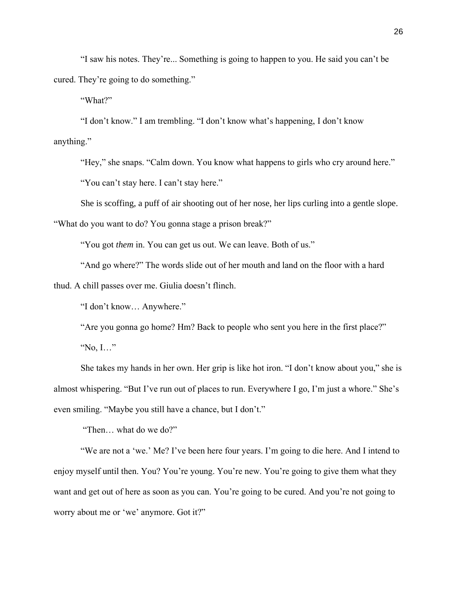"I saw his notes. They're... Something is going to happen to you. He said you can't be cured. They're going to do something."

"What?"

"I don't know." I am trembling. "I don't know what's happening, I don't know anything."

"Hey," she snaps. "Calm down. You know what happens to girls who cry around here."

"You can't stay here. I can't stay here."

She is scoffing, a puff of air shooting out of her nose, her lips curling into a gentle slope.

"What do you want to do? You gonna stage a prison break?"

"You got *them* in. You can get us out. We can leave. Both of us."

"And go where?" The words slide out of her mouth and land on the floor with a hard

thud. A chill passes over me. Giulia doesn't flinch.

"I don't know… Anywhere."

"Are you gonna go home? Hm? Back to people who sent you here in the first place?" "No, I…"

She takes my hands in her own. Her grip is like hot iron. "I don't know about you," she is almost whispering. "But I've run out of places to run. Everywhere I go, I'm just a whore." She's even smiling. "Maybe you still have a chance, but I don't."

"Then… what do we do?"

"We are not a 'we.' Me? I've been here four years. I'm going to die here. And I intend to enjoy myself until then. You? You're young. You're new. You're going to give them what they want and get out of here as soon as you can. You're going to be cured. And you're not going to worry about me or 'we' anymore. Got it?"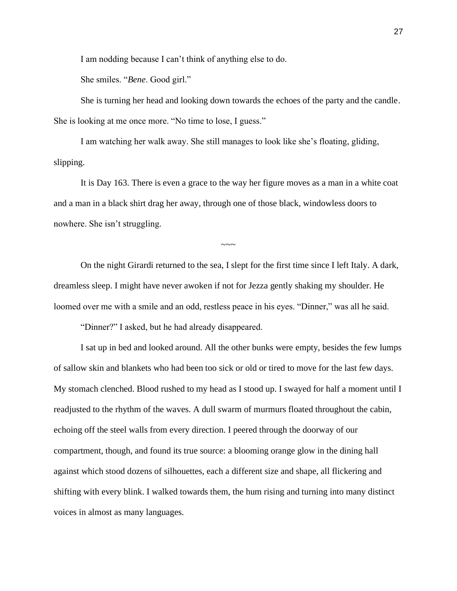I am nodding because I can't think of anything else to do.

She smiles. "*Bene*. Good girl."

She is turning her head and looking down towards the echoes of the party and the candle. She is looking at me once more. "No time to lose, I guess."

I am watching her walk away. She still manages to look like she's floating, gliding, slipping.

It is Day 163. There is even a grace to the way her figure moves as a man in a white coat and a man in a black shirt drag her away, through one of those black, windowless doors to nowhere. She isn't struggling.

On the night Girardi returned to the sea, I slept for the first time since I left Italy. A dark, dreamless sleep. I might have never awoken if not for Jezza gently shaking my shoulder. He loomed over me with a smile and an odd, restless peace in his eyes. "Dinner," was all he said.

 $\sim\sim\sim$ 

"Dinner?" I asked, but he had already disappeared.

I sat up in bed and looked around. All the other bunks were empty, besides the few lumps of sallow skin and blankets who had been too sick or old or tired to move for the last few days. My stomach clenched. Blood rushed to my head as I stood up. I swayed for half a moment until I readjusted to the rhythm of the waves. A dull swarm of murmurs floated throughout the cabin, echoing off the steel walls from every direction. I peered through the doorway of our compartment, though, and found its true source: a blooming orange glow in the dining hall against which stood dozens of silhouettes, each a different size and shape, all flickering and shifting with every blink. I walked towards them, the hum rising and turning into many distinct voices in almost as many languages.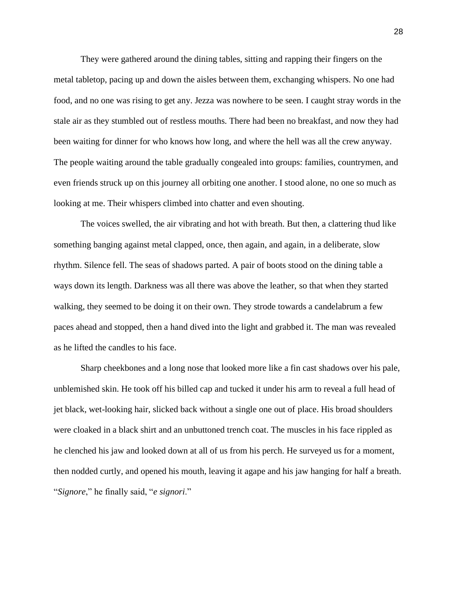They were gathered around the dining tables, sitting and rapping their fingers on the metal tabletop, pacing up and down the aisles between them, exchanging whispers. No one had food, and no one was rising to get any. Jezza was nowhere to be seen. I caught stray words in the stale air as they stumbled out of restless mouths. There had been no breakfast, and now they had been waiting for dinner for who knows how long, and where the hell was all the crew anyway. The people waiting around the table gradually congealed into groups: families, countrymen, and even friends struck up on this journey all orbiting one another. I stood alone, no one so much as looking at me. Their whispers climbed into chatter and even shouting.

The voices swelled, the air vibrating and hot with breath. But then, a clattering thud like something banging against metal clapped, once, then again, and again, in a deliberate, slow rhythm. Silence fell. The seas of shadows parted. A pair of boots stood on the dining table a ways down its length. Darkness was all there was above the leather, so that when they started walking, they seemed to be doing it on their own. They strode towards a candelabrum a few paces ahead and stopped, then a hand dived into the light and grabbed it. The man was revealed as he lifted the candles to his face.

Sharp cheekbones and a long nose that looked more like a fin cast shadows over his pale, unblemished skin. He took off his billed cap and tucked it under his arm to reveal a full head of jet black, wet-looking hair, slicked back without a single one out of place. His broad shoulders were cloaked in a black shirt and an unbuttoned trench coat. The muscles in his face rippled as he clenched his jaw and looked down at all of us from his perch. He surveyed us for a moment, then nodded curtly, and opened his mouth, leaving it agape and his jaw hanging for half a breath. "*Signore*," he finally said, "*e signori*."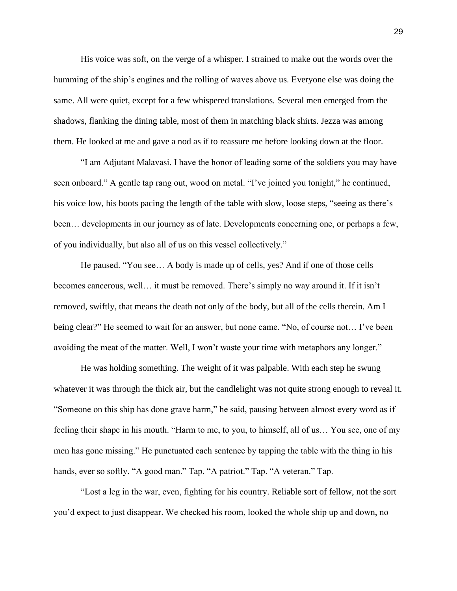His voice was soft, on the verge of a whisper. I strained to make out the words over the humming of the ship's engines and the rolling of waves above us. Everyone else was doing the same. All were quiet, except for a few whispered translations. Several men emerged from the shadows, flanking the dining table, most of them in matching black shirts. Jezza was among them. He looked at me and gave a nod as if to reassure me before looking down at the floor.

"I am Adjutant Malavasi. I have the honor of leading some of the soldiers you may have seen onboard." A gentle tap rang out, wood on metal. "I've joined you tonight," he continued, his voice low, his boots pacing the length of the table with slow, loose steps, "seeing as there's been… developments in our journey as of late. Developments concerning one, or perhaps a few, of you individually, but also all of us on this vessel collectively."

He paused. "You see… A body is made up of cells, yes? And if one of those cells becomes cancerous, well… it must be removed. There's simply no way around it. If it isn't removed, swiftly, that means the death not only of the body, but all of the cells therein. Am I being clear?" He seemed to wait for an answer, but none came. "No, of course not… I've been avoiding the meat of the matter. Well, I won't waste your time with metaphors any longer."

He was holding something. The weight of it was palpable. With each step he swung whatever it was through the thick air, but the candlelight was not quite strong enough to reveal it. "Someone on this ship has done grave harm," he said, pausing between almost every word as if feeling their shape in his mouth. "Harm to me, to you, to himself, all of us… You see, one of my men has gone missing." He punctuated each sentence by tapping the table with the thing in his hands, ever so softly. "A good man." Tap. "A patriot." Tap. "A veteran." Tap.

"Lost a leg in the war, even, fighting for his country. Reliable sort of fellow, not the sort you'd expect to just disappear. We checked his room, looked the whole ship up and down, no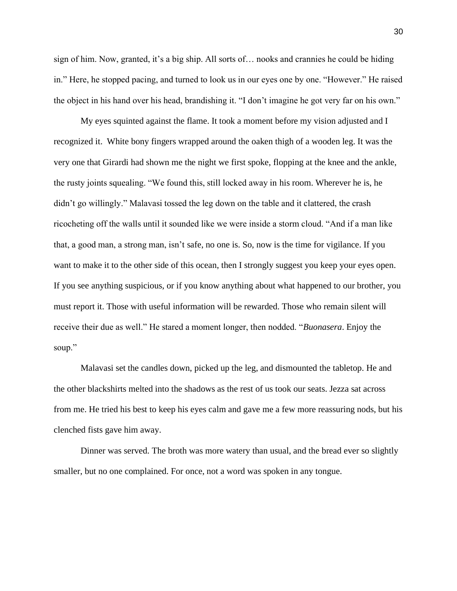sign of him. Now, granted, it's a big ship. All sorts of… nooks and crannies he could be hiding in." Here, he stopped pacing, and turned to look us in our eyes one by one. "However." He raised the object in his hand over his head, brandishing it. "I don't imagine he got very far on his own."

My eyes squinted against the flame. It took a moment before my vision adjusted and I recognized it. White bony fingers wrapped around the oaken thigh of a wooden leg. It was the very one that Girardi had shown me the night we first spoke, flopping at the knee and the ankle, the rusty joints squealing. "We found this, still locked away in his room. Wherever he is, he didn't go willingly." Malavasi tossed the leg down on the table and it clattered, the crash ricocheting off the walls until it sounded like we were inside a storm cloud. "And if a man like that, a good man, a strong man, isn't safe, no one is. So, now is the time for vigilance. If you want to make it to the other side of this ocean, then I strongly suggest you keep your eyes open. If you see anything suspicious, or if you know anything about what happened to our brother, you must report it. Those with useful information will be rewarded. Those who remain silent will receive their due as well." He stared a moment longer, then nodded. "*Buonasera*. Enjoy the soup."

Malavasi set the candles down, picked up the leg, and dismounted the tabletop. He and the other blackshirts melted into the shadows as the rest of us took our seats. Jezza sat across from me. He tried his best to keep his eyes calm and gave me a few more reassuring nods, but his clenched fists gave him away.

Dinner was served. The broth was more watery than usual, and the bread ever so slightly smaller, but no one complained. For once, not a word was spoken in any tongue.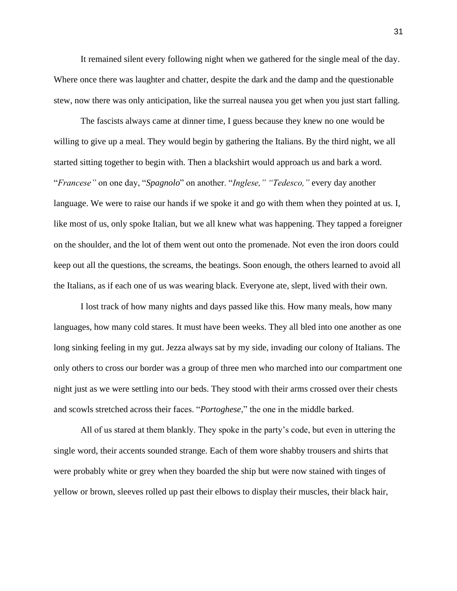It remained silent every following night when we gathered for the single meal of the day. Where once there was laughter and chatter, despite the dark and the damp and the questionable stew, now there was only anticipation, like the surreal nausea you get when you just start falling.

The fascists always came at dinner time, I guess because they knew no one would be willing to give up a meal. They would begin by gathering the Italians. By the third night, we all started sitting together to begin with. Then a blackshirt would approach us and bark a word. "*Francese"* on one day, "*Spagnolo*" on another. "*Inglese," "Tedesco,"* every day another language. We were to raise our hands if we spoke it and go with them when they pointed at us. I, like most of us, only spoke Italian, but we all knew what was happening. They tapped a foreigner on the shoulder, and the lot of them went out onto the promenade. Not even the iron doors could keep out all the questions, the screams, the beatings. Soon enough, the others learned to avoid all the Italians, as if each one of us was wearing black. Everyone ate, slept, lived with their own.

I lost track of how many nights and days passed like this. How many meals, how many languages, how many cold stares. It must have been weeks. They all bled into one another as one long sinking feeling in my gut. Jezza always sat by my side, invading our colony of Italians. The only others to cross our border was a group of three men who marched into our compartment one night just as we were settling into our beds. They stood with their arms crossed over their chests and scowls stretched across their faces. "*Portoghese*," the one in the middle barked.

All of us stared at them blankly. They spoke in the party's code, but even in uttering the single word, their accents sounded strange. Each of them wore shabby trousers and shirts that were probably white or grey when they boarded the ship but were now stained with tinges of yellow or brown, sleeves rolled up past their elbows to display their muscles, their black hair,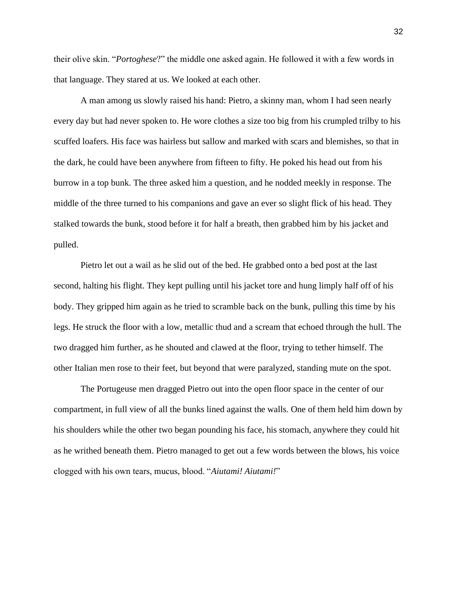their olive skin. "*Portoghese*?" the middle one asked again. He followed it with a few words in that language. They stared at us. We looked at each other.

A man among us slowly raised his hand: Pietro, a skinny man, whom I had seen nearly every day but had never spoken to. He wore clothes a size too big from his crumpled trilby to his scuffed loafers. His face was hairless but sallow and marked with scars and blemishes, so that in the dark, he could have been anywhere from fifteen to fifty. He poked his head out from his burrow in a top bunk. The three asked him a question, and he nodded meekly in response. The middle of the three turned to his companions and gave an ever so slight flick of his head. They stalked towards the bunk, stood before it for half a breath, then grabbed him by his jacket and pulled.

Pietro let out a wail as he slid out of the bed. He grabbed onto a bed post at the last second, halting his flight. They kept pulling until his jacket tore and hung limply half off of his body. They gripped him again as he tried to scramble back on the bunk, pulling this time by his legs. He struck the floor with a low, metallic thud and a scream that echoed through the hull. The two dragged him further, as he shouted and clawed at the floor, trying to tether himself. The other Italian men rose to their feet, but beyond that were paralyzed, standing mute on the spot.

The Portugeuse men dragged Pietro out into the open floor space in the center of our compartment, in full view of all the bunks lined against the walls. One of them held him down by his shoulders while the other two began pounding his face, his stomach, anywhere they could hit as he writhed beneath them. Pietro managed to get out a few words between the blows, his voice clogged with his own tears, mucus, blood. "*Aiutami! Aiutami!*"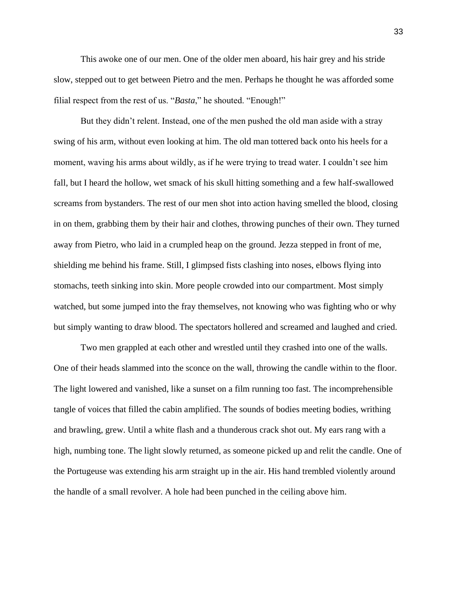This awoke one of our men. One of the older men aboard, his hair grey and his stride slow, stepped out to get between Pietro and the men. Perhaps he thought he was afforded some filial respect from the rest of us. "*Basta*," he shouted. "Enough!"

But they didn't relent. Instead, one of the men pushed the old man aside with a stray swing of his arm, without even looking at him. The old man tottered back onto his heels for a moment, waving his arms about wildly, as if he were trying to tread water. I couldn't see him fall, but I heard the hollow, wet smack of his skull hitting something and a few half-swallowed screams from bystanders. The rest of our men shot into action having smelled the blood, closing in on them, grabbing them by their hair and clothes, throwing punches of their own. They turned away from Pietro, who laid in a crumpled heap on the ground. Jezza stepped in front of me, shielding me behind his frame. Still, I glimpsed fists clashing into noses, elbows flying into stomachs, teeth sinking into skin. More people crowded into our compartment. Most simply watched, but some jumped into the fray themselves, not knowing who was fighting who or why but simply wanting to draw blood. The spectators hollered and screamed and laughed and cried.

Two men grappled at each other and wrestled until they crashed into one of the walls. One of their heads slammed into the sconce on the wall, throwing the candle within to the floor. The light lowered and vanished, like a sunset on a film running too fast. The incomprehensible tangle of voices that filled the cabin amplified. The sounds of bodies meeting bodies, writhing and brawling, grew. Until a white flash and a thunderous crack shot out. My ears rang with a high, numbing tone. The light slowly returned, as someone picked up and relit the candle. One of the Portugeuse was extending his arm straight up in the air. His hand trembled violently around the handle of a small revolver. A hole had been punched in the ceiling above him.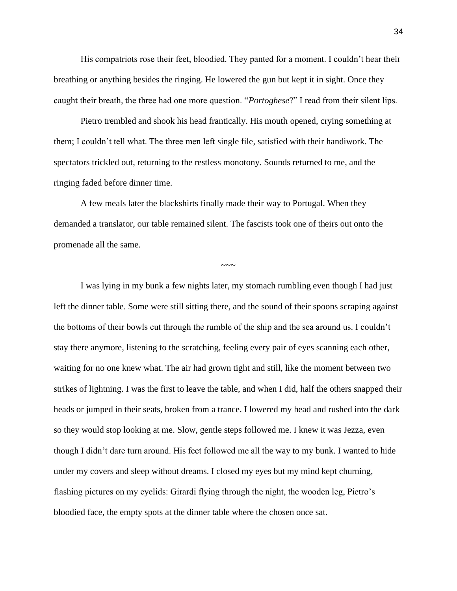His compatriots rose their feet, bloodied. They panted for a moment. I couldn't hear their breathing or anything besides the ringing. He lowered the gun but kept it in sight. Once they caught their breath, the three had one more question. "*Portoghese*?" I read from their silent lips.

Pietro trembled and shook his head frantically. His mouth opened, crying something at them; I couldn't tell what. The three men left single file, satisfied with their handiwork. The spectators trickled out, returning to the restless monotony. Sounds returned to me, and the ringing faded before dinner time.

A few meals later the blackshirts finally made their way to Portugal. When they demanded a translator, our table remained silent. The fascists took one of theirs out onto the promenade all the same.

 $\sim\sim\sim$ 

I was lying in my bunk a few nights later, my stomach rumbling even though I had just left the dinner table. Some were still sitting there, and the sound of their spoons scraping against the bottoms of their bowls cut through the rumble of the ship and the sea around us. I couldn't stay there anymore, listening to the scratching, feeling every pair of eyes scanning each other, waiting for no one knew what. The air had grown tight and still, like the moment between two strikes of lightning. I was the first to leave the table, and when I did, half the others snapped their heads or jumped in their seats, broken from a trance. I lowered my head and rushed into the dark so they would stop looking at me. Slow, gentle steps followed me. I knew it was Jezza, even though I didn't dare turn around. His feet followed me all the way to my bunk. I wanted to hide under my covers and sleep without dreams. I closed my eyes but my mind kept churning, flashing pictures on my eyelids: Girardi flying through the night, the wooden leg, Pietro's bloodied face, the empty spots at the dinner table where the chosen once sat.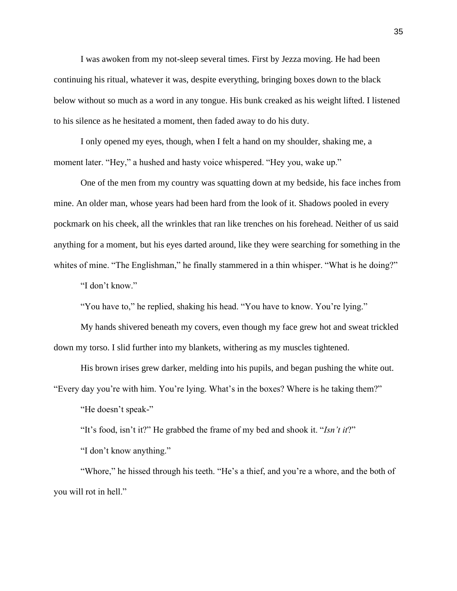I was awoken from my not-sleep several times. First by Jezza moving. He had been continuing his ritual, whatever it was, despite everything, bringing boxes down to the black below without so much as a word in any tongue. His bunk creaked as his weight lifted. I listened to his silence as he hesitated a moment, then faded away to do his duty.

I only opened my eyes, though, when I felt a hand on my shoulder, shaking me, a moment later. "Hey," a hushed and hasty voice whispered. "Hey you, wake up."

One of the men from my country was squatting down at my bedside, his face inches from mine. An older man, whose years had been hard from the look of it. Shadows pooled in every pockmark on his cheek, all the wrinkles that ran like trenches on his forehead. Neither of us said anything for a moment, but his eyes darted around, like they were searching for something in the whites of mine. "The Englishman," he finally stammered in a thin whisper. "What is he doing?"

"I don't know."

"You have to," he replied, shaking his head. "You have to know. You're lying."

My hands shivered beneath my covers, even though my face grew hot and sweat trickled down my torso. I slid further into my blankets, withering as my muscles tightened.

His brown irises grew darker, melding into his pupils, and began pushing the white out.

"Every day you're with him. You're lying. What's in the boxes? Where is he taking them?"

"He doesn't speak-"

"It's food, isn't it?" He grabbed the frame of my bed and shook it. "*Isn't it*?"

"I don't know anything."

"Whore," he hissed through his teeth. "He's a thief, and you're a whore, and the both of you will rot in hell."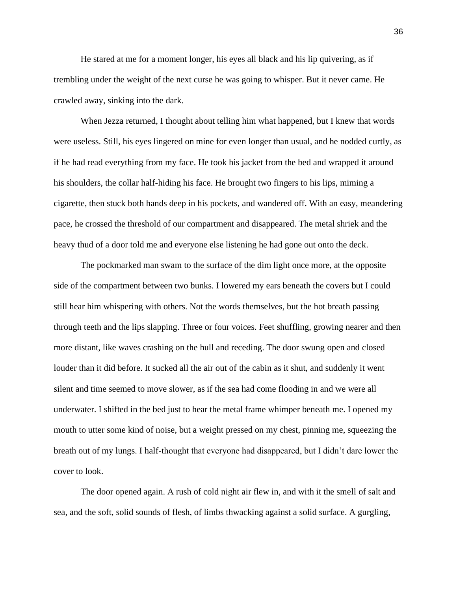He stared at me for a moment longer, his eyes all black and his lip quivering, as if trembling under the weight of the next curse he was going to whisper. But it never came. He crawled away, sinking into the dark.

When Jezza returned, I thought about telling him what happened, but I knew that words were useless. Still, his eyes lingered on mine for even longer than usual, and he nodded curtly, as if he had read everything from my face. He took his jacket from the bed and wrapped it around his shoulders, the collar half-hiding his face. He brought two fingers to his lips, miming a cigarette, then stuck both hands deep in his pockets, and wandered off. With an easy, meandering pace, he crossed the threshold of our compartment and disappeared. The metal shriek and the heavy thud of a door told me and everyone else listening he had gone out onto the deck.

The pockmarked man swam to the surface of the dim light once more, at the opposite side of the compartment between two bunks. I lowered my ears beneath the covers but I could still hear him whispering with others. Not the words themselves, but the hot breath passing through teeth and the lips slapping. Three or four voices. Feet shuffling, growing nearer and then more distant, like waves crashing on the hull and receding. The door swung open and closed louder than it did before. It sucked all the air out of the cabin as it shut, and suddenly it went silent and time seemed to move slower, as if the sea had come flooding in and we were all underwater. I shifted in the bed just to hear the metal frame whimper beneath me. I opened my mouth to utter some kind of noise, but a weight pressed on my chest, pinning me, squeezing the breath out of my lungs. I half-thought that everyone had disappeared, but I didn't dare lower the cover to look.

The door opened again. A rush of cold night air flew in, and with it the smell of salt and sea, and the soft, solid sounds of flesh, of limbs thwacking against a solid surface. A gurgling,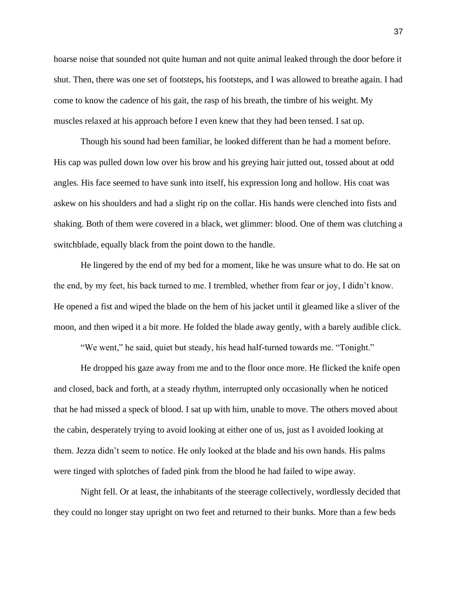hoarse noise that sounded not quite human and not quite animal leaked through the door before it shut. Then, there was one set of footsteps, his footsteps, and I was allowed to breathe again. I had come to know the cadence of his gait, the rasp of his breath, the timbre of his weight. My muscles relaxed at his approach before I even knew that they had been tensed. I sat up.

Though his sound had been familiar, he looked different than he had a moment before. His cap was pulled down low over his brow and his greying hair jutted out, tossed about at odd angles. His face seemed to have sunk into itself, his expression long and hollow. His coat was askew on his shoulders and had a slight rip on the collar. His hands were clenched into fists and shaking. Both of them were covered in a black, wet glimmer: blood. One of them was clutching a switchblade, equally black from the point down to the handle.

He lingered by the end of my bed for a moment, like he was unsure what to do. He sat on the end, by my feet, his back turned to me. I trembled, whether from fear or joy, I didn't know. He opened a fist and wiped the blade on the hem of his jacket until it gleamed like a sliver of the moon, and then wiped it a bit more. He folded the blade away gently, with a barely audible click.

"We went," he said, quiet but steady, his head half-turned towards me. "Tonight."

He dropped his gaze away from me and to the floor once more. He flicked the knife open and closed, back and forth, at a steady rhythm, interrupted only occasionally when he noticed that he had missed a speck of blood. I sat up with him, unable to move. The others moved about the cabin, desperately trying to avoid looking at either one of us, just as I avoided looking at them. Jezza didn't seem to notice. He only looked at the blade and his own hands. His palms were tinged with splotches of faded pink from the blood he had failed to wipe away.

Night fell. Or at least, the inhabitants of the steerage collectively, wordlessly decided that they could no longer stay upright on two feet and returned to their bunks. More than a few beds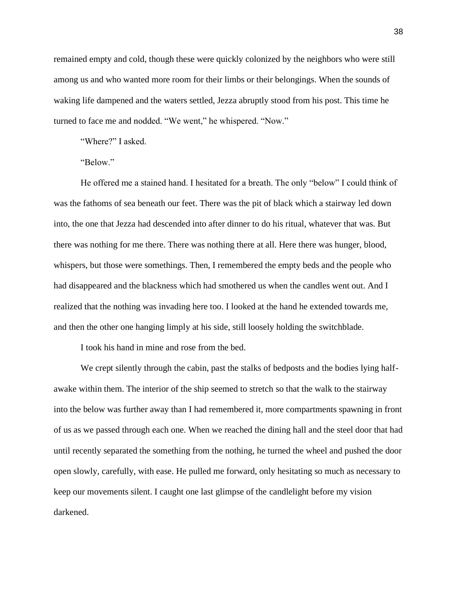remained empty and cold, though these were quickly colonized by the neighbors who were still among us and who wanted more room for their limbs or their belongings. When the sounds of waking life dampened and the waters settled, Jezza abruptly stood from his post. This time he turned to face me and nodded. "We went," he whispered. "Now."

"Where?" I asked.

"Below."

He offered me a stained hand. I hesitated for a breath. The only "below" I could think of was the fathoms of sea beneath our feet. There was the pit of black which a stairway led down into, the one that Jezza had descended into after dinner to do his ritual, whatever that was. But there was nothing for me there. There was nothing there at all. Here there was hunger, blood, whispers, but those were somethings. Then, I remembered the empty beds and the people who had disappeared and the blackness which had smothered us when the candles went out. And I realized that the nothing was invading here too. I looked at the hand he extended towards me, and then the other one hanging limply at his side, still loosely holding the switchblade.

I took his hand in mine and rose from the bed.

We crept silently through the cabin, past the stalks of bedposts and the bodies lying halfawake within them. The interior of the ship seemed to stretch so that the walk to the stairway into the below was further away than I had remembered it, more compartments spawning in front of us as we passed through each one. When we reached the dining hall and the steel door that had until recently separated the something from the nothing, he turned the wheel and pushed the door open slowly, carefully, with ease. He pulled me forward, only hesitating so much as necessary to keep our movements silent. I caught one last glimpse of the candlelight before my vision darkened.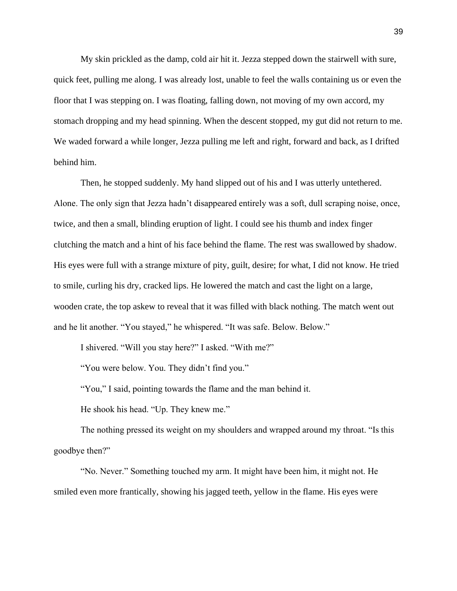My skin prickled as the damp, cold air hit it. Jezza stepped down the stairwell with sure, quick feet, pulling me along. I was already lost, unable to feel the walls containing us or even the floor that I was stepping on. I was floating, falling down, not moving of my own accord, my stomach dropping and my head spinning. When the descent stopped, my gut did not return to me. We waded forward a while longer, Jezza pulling me left and right, forward and back, as I drifted behind him.

Then, he stopped suddenly. My hand slipped out of his and I was utterly untethered. Alone. The only sign that Jezza hadn't disappeared entirely was a soft, dull scraping noise, once, twice, and then a small, blinding eruption of light. I could see his thumb and index finger clutching the match and a hint of his face behind the flame. The rest was swallowed by shadow. His eyes were full with a strange mixture of pity, guilt, desire; for what, I did not know. He tried to smile, curling his dry, cracked lips. He lowered the match and cast the light on a large, wooden crate, the top askew to reveal that it was filled with black nothing. The match went out and he lit another. "You stayed," he whispered. "It was safe. Below. Below."

I shivered. "Will you stay here?" I asked. "With me?"

"You were below. You. They didn't find you."

"You," I said, pointing towards the flame and the man behind it.

He shook his head. "Up. They knew me."

The nothing pressed its weight on my shoulders and wrapped around my throat. "Is this goodbye then?"

"No. Never." Something touched my arm. It might have been him, it might not. He smiled even more frantically, showing his jagged teeth, yellow in the flame. His eyes were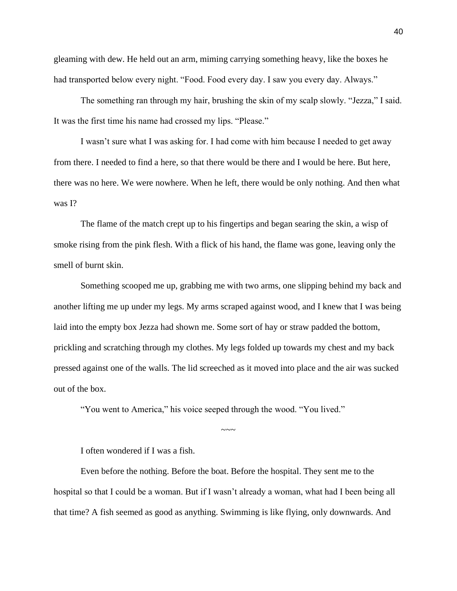gleaming with dew. He held out an arm, miming carrying something heavy, like the boxes he had transported below every night. "Food. Food every day. I saw you every day. Always."

The something ran through my hair, brushing the skin of my scalp slowly. "Jezza," I said. It was the first time his name had crossed my lips. "Please."

I wasn't sure what I was asking for. I had come with him because I needed to get away from there. I needed to find a here, so that there would be there and I would be here. But here, there was no here. We were nowhere. When he left, there would be only nothing. And then what was I?

The flame of the match crept up to his fingertips and began searing the skin, a wisp of smoke rising from the pink flesh. With a flick of his hand, the flame was gone, leaving only the smell of burnt skin.

Something scooped me up, grabbing me with two arms, one slipping behind my back and another lifting me up under my legs. My arms scraped against wood, and I knew that I was being laid into the empty box Jezza had shown me. Some sort of hay or straw padded the bottom, prickling and scratching through my clothes. My legs folded up towards my chest and my back pressed against one of the walls. The lid screeched as it moved into place and the air was sucked out of the box.

"You went to America," his voice seeped through the wood. "You lived."

I often wondered if I was a fish.

Even before the nothing. Before the boat. Before the hospital. They sent me to the hospital so that I could be a woman. But if I wasn't already a woman, what had I been being all that time? A fish seemed as good as anything. Swimming is like flying, only downwards. And

 $\sim$ ~~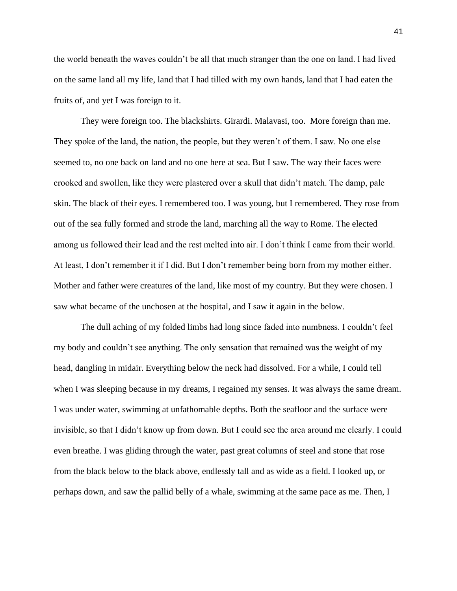the world beneath the waves couldn't be all that much stranger than the one on land. I had lived on the same land all my life, land that I had tilled with my own hands, land that I had eaten the fruits of, and yet I was foreign to it.

They were foreign too. The blackshirts. Girardi. Malavasi, too. More foreign than me. They spoke of the land, the nation, the people, but they weren't of them. I saw. No one else seemed to, no one back on land and no one here at sea. But I saw. The way their faces were crooked and swollen, like they were plastered over a skull that didn't match. The damp, pale skin. The black of their eyes. I remembered too. I was young, but I remembered. They rose from out of the sea fully formed and strode the land, marching all the way to Rome. The elected among us followed their lead and the rest melted into air. I don't think I came from their world. At least, I don't remember it if I did. But I don't remember being born from my mother either. Mother and father were creatures of the land, like most of my country. But they were chosen. I saw what became of the unchosen at the hospital, and I saw it again in the below.

The dull aching of my folded limbs had long since faded into numbness. I couldn't feel my body and couldn't see anything. The only sensation that remained was the weight of my head, dangling in midair. Everything below the neck had dissolved. For a while, I could tell when I was sleeping because in my dreams, I regained my senses. It was always the same dream. I was under water, swimming at unfathomable depths. Both the seafloor and the surface were invisible, so that I didn't know up from down. But I could see the area around me clearly. I could even breathe. I was gliding through the water, past great columns of steel and stone that rose from the black below to the black above, endlessly tall and as wide as a field. I looked up, or perhaps down, and saw the pallid belly of a whale, swimming at the same pace as me. Then, I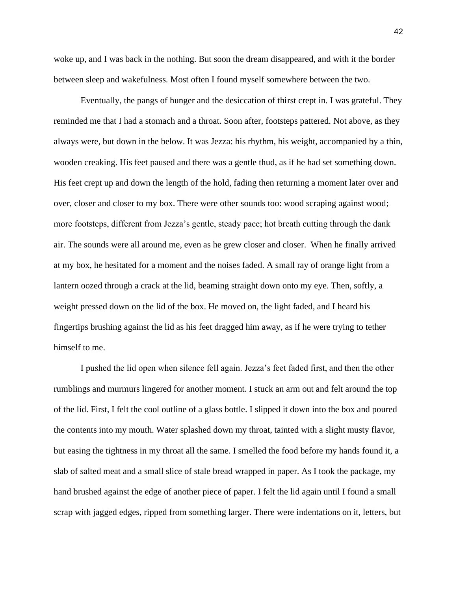woke up, and I was back in the nothing. But soon the dream disappeared, and with it the border between sleep and wakefulness. Most often I found myself somewhere between the two.

Eventually, the pangs of hunger and the desiccation of thirst crept in. I was grateful. They reminded me that I had a stomach and a throat. Soon after, footsteps pattered. Not above, as they always were, but down in the below. It was Jezza: his rhythm, his weight, accompanied by a thin, wooden creaking. His feet paused and there was a gentle thud, as if he had set something down. His feet crept up and down the length of the hold, fading then returning a moment later over and over, closer and closer to my box. There were other sounds too: wood scraping against wood; more footsteps, different from Jezza's gentle, steady pace; hot breath cutting through the dank air. The sounds were all around me, even as he grew closer and closer. When he finally arrived at my box, he hesitated for a moment and the noises faded. A small ray of orange light from a lantern oozed through a crack at the lid, beaming straight down onto my eye. Then, softly, a weight pressed down on the lid of the box. He moved on, the light faded, and I heard his fingertips brushing against the lid as his feet dragged him away, as if he were trying to tether himself to me.

I pushed the lid open when silence fell again. Jezza's feet faded first, and then the other rumblings and murmurs lingered for another moment. I stuck an arm out and felt around the top of the lid. First, I felt the cool outline of a glass bottle. I slipped it down into the box and poured the contents into my mouth. Water splashed down my throat, tainted with a slight musty flavor, but easing the tightness in my throat all the same. I smelled the food before my hands found it, a slab of salted meat and a small slice of stale bread wrapped in paper. As I took the package, my hand brushed against the edge of another piece of paper. I felt the lid again until I found a small scrap with jagged edges, ripped from something larger. There were indentations on it, letters, but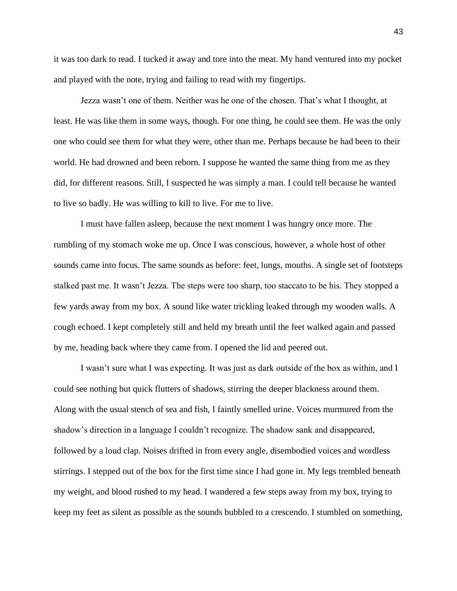it was too dark to read. I tucked it away and tore into the meat. My hand ventured into my pocket and played with the note, trying and failing to read with my fingertips.

Jezza wasn't one of them. Neither was he one of the chosen. That's what I thought, at least. He was like them in some ways, though. For one thing, he could see them. He was the only one who could see them for what they were, other than me. Perhaps because he had been to their world. He had drowned and been reborn. I suppose he wanted the same thing from me as they did, for different reasons. Still, I suspected he was simply a man. I could tell because he wanted to live so badly. He was willing to kill to live. For me to live.

I must have fallen asleep, because the next moment I was hungry once more. The rumbling of my stomach woke me up. Once I was conscious, however, a whole host of other sounds came into focus. The same sounds as before: feet, lungs, mouths. A single set of footsteps stalked past me. It wasn't Jezza. The steps were too sharp, too staccato to be his. They stopped a few yards away from my box. A sound like water trickling leaked through my wooden walls. A cough echoed. I kept completely still and held my breath until the feet walked again and passed by me, heading back where they came from. I opened the lid and peered out.

I wasn't sure what I was expecting. It was just as dark outside of the box as within, and I could see nothing but quick flutters of shadows, stirring the deeper blackness around them. Along with the usual stench of sea and fish, I faintly smelled urine. Voices murmured from the shadow's direction in a language I couldn't recognize. The shadow sank and disappeared, followed by a loud clap. Noises drifted in from every angle, disembodied voices and wordless stirrings. I stepped out of the box for the first time since I had gone in. My legs trembled beneath my weight, and blood rushed to my head. I wandered a few steps away from my box, trying to keep my feet as silent as possible as the sounds bubbled to a crescendo. I stumbled on something,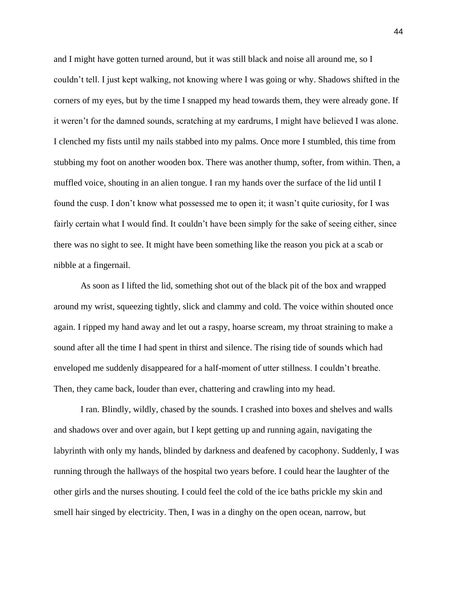and I might have gotten turned around, but it was still black and noise all around me, so I couldn't tell. I just kept walking, not knowing where I was going or why. Shadows shifted in the corners of my eyes, but by the time I snapped my head towards them, they were already gone. If it weren't for the damned sounds, scratching at my eardrums, I might have believed I was alone. I clenched my fists until my nails stabbed into my palms. Once more I stumbled, this time from stubbing my foot on another wooden box. There was another thump, softer, from within. Then, a muffled voice, shouting in an alien tongue. I ran my hands over the surface of the lid until I found the cusp. I don't know what possessed me to open it; it wasn't quite curiosity, for I was fairly certain what I would find. It couldn't have been simply for the sake of seeing either, since there was no sight to see. It might have been something like the reason you pick at a scab or nibble at a fingernail.

As soon as I lifted the lid, something shot out of the black pit of the box and wrapped around my wrist, squeezing tightly, slick and clammy and cold. The voice within shouted once again. I ripped my hand away and let out a raspy, hoarse scream, my throat straining to make a sound after all the time I had spent in thirst and silence. The rising tide of sounds which had enveloped me suddenly disappeared for a half-moment of utter stillness. I couldn't breathe. Then, they came back, louder than ever, chattering and crawling into my head.

I ran. Blindly, wildly, chased by the sounds. I crashed into boxes and shelves and walls and shadows over and over again, but I kept getting up and running again, navigating the labyrinth with only my hands, blinded by darkness and deafened by cacophony. Suddenly, I was running through the hallways of the hospital two years before. I could hear the laughter of the other girls and the nurses shouting. I could feel the cold of the ice baths prickle my skin and smell hair singed by electricity. Then, I was in a dinghy on the open ocean, narrow, but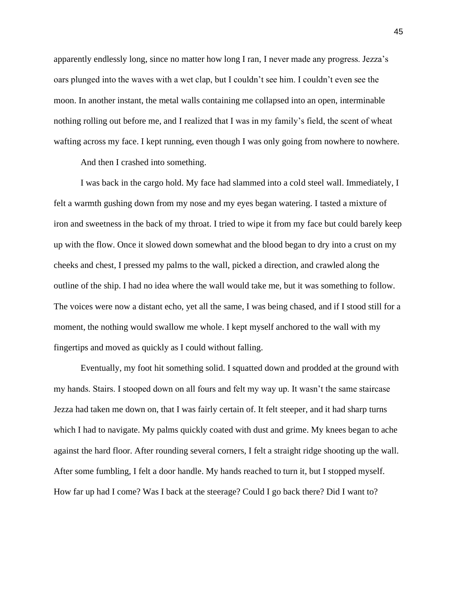apparently endlessly long, since no matter how long I ran, I never made any progress. Jezza's oars plunged into the waves with a wet clap, but I couldn't see him. I couldn't even see the moon. In another instant, the metal walls containing me collapsed into an open, interminable nothing rolling out before me, and I realized that I was in my family's field, the scent of wheat wafting across my face. I kept running, even though I was only going from nowhere to nowhere.

And then I crashed into something.

I was back in the cargo hold. My face had slammed into a cold steel wall. Immediately, I felt a warmth gushing down from my nose and my eyes began watering. I tasted a mixture of iron and sweetness in the back of my throat. I tried to wipe it from my face but could barely keep up with the flow. Once it slowed down somewhat and the blood began to dry into a crust on my cheeks and chest, I pressed my palms to the wall, picked a direction, and crawled along the outline of the ship. I had no idea where the wall would take me, but it was something to follow. The voices were now a distant echo, yet all the same, I was being chased, and if I stood still for a moment, the nothing would swallow me whole. I kept myself anchored to the wall with my fingertips and moved as quickly as I could without falling.

Eventually, my foot hit something solid. I squatted down and prodded at the ground with my hands. Stairs. I stooped down on all fours and felt my way up. It wasn't the same staircase Jezza had taken me down on, that I was fairly certain of. It felt steeper, and it had sharp turns which I had to navigate. My palms quickly coated with dust and grime. My knees began to ache against the hard floor. After rounding several corners, I felt a straight ridge shooting up the wall. After some fumbling, I felt a door handle. My hands reached to turn it, but I stopped myself. How far up had I come? Was I back at the steerage? Could I go back there? Did I want to?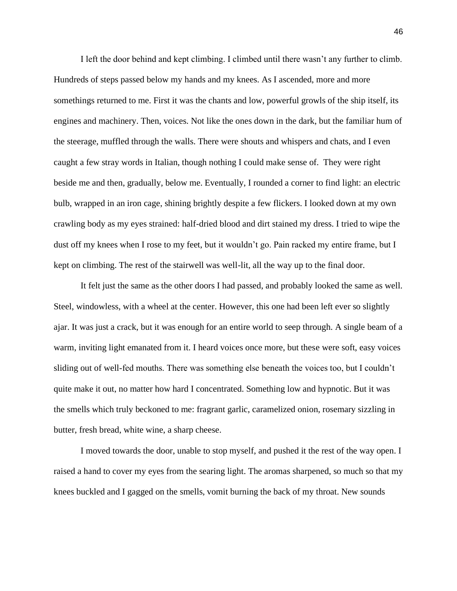I left the door behind and kept climbing. I climbed until there wasn't any further to climb. Hundreds of steps passed below my hands and my knees. As I ascended, more and more somethings returned to me. First it was the chants and low, powerful growls of the ship itself, its engines and machinery. Then, voices. Not like the ones down in the dark, but the familiar hum of the steerage, muffled through the walls. There were shouts and whispers and chats, and I even caught a few stray words in Italian, though nothing I could make sense of. They were right beside me and then, gradually, below me. Eventually, I rounded a corner to find light: an electric bulb, wrapped in an iron cage, shining brightly despite a few flickers. I looked down at my own crawling body as my eyes strained: half-dried blood and dirt stained my dress. I tried to wipe the dust off my knees when I rose to my feet, but it wouldn't go. Pain racked my entire frame, but I kept on climbing. The rest of the stairwell was well-lit, all the way up to the final door.

It felt just the same as the other doors I had passed, and probably looked the same as well. Steel, windowless, with a wheel at the center. However, this one had been left ever so slightly ajar. It was just a crack, but it was enough for an entire world to seep through. A single beam of a warm, inviting light emanated from it. I heard voices once more, but these were soft, easy voices sliding out of well-fed mouths. There was something else beneath the voices too, but I couldn't quite make it out, no matter how hard I concentrated. Something low and hypnotic. But it was the smells which truly beckoned to me: fragrant garlic, caramelized onion, rosemary sizzling in butter, fresh bread, white wine, a sharp cheese.

I moved towards the door, unable to stop myself, and pushed it the rest of the way open. I raised a hand to cover my eyes from the searing light. The aromas sharpened, so much so that my knees buckled and I gagged on the smells, vomit burning the back of my throat. New sounds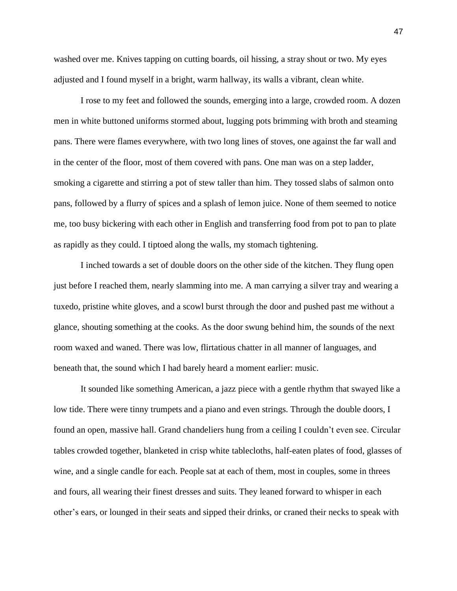washed over me. Knives tapping on cutting boards, oil hissing, a stray shout or two. My eyes adjusted and I found myself in a bright, warm hallway, its walls a vibrant, clean white.

I rose to my feet and followed the sounds, emerging into a large, crowded room. A dozen men in white buttoned uniforms stormed about, lugging pots brimming with broth and steaming pans. There were flames everywhere, with two long lines of stoves, one against the far wall and in the center of the floor, most of them covered with pans. One man was on a step ladder, smoking a cigarette and stirring a pot of stew taller than him. They tossed slabs of salmon onto pans, followed by a flurry of spices and a splash of lemon juice. None of them seemed to notice me, too busy bickering with each other in English and transferring food from pot to pan to plate as rapidly as they could. I tiptoed along the walls, my stomach tightening.

I inched towards a set of double doors on the other side of the kitchen. They flung open just before I reached them, nearly slamming into me. A man carrying a silver tray and wearing a tuxedo, pristine white gloves, and a scowl burst through the door and pushed past me without a glance, shouting something at the cooks. As the door swung behind him, the sounds of the next room waxed and waned. There was low, flirtatious chatter in all manner of languages, and beneath that, the sound which I had barely heard a moment earlier: music.

It sounded like something American, a jazz piece with a gentle rhythm that swayed like a low tide. There were tinny trumpets and a piano and even strings. Through the double doors, I found an open, massive hall. Grand chandeliers hung from a ceiling I couldn't even see. Circular tables crowded together, blanketed in crisp white tablecloths, half-eaten plates of food, glasses of wine, and a single candle for each. People sat at each of them, most in couples, some in threes and fours, all wearing their finest dresses and suits. They leaned forward to whisper in each other's ears, or lounged in their seats and sipped their drinks, or craned their necks to speak with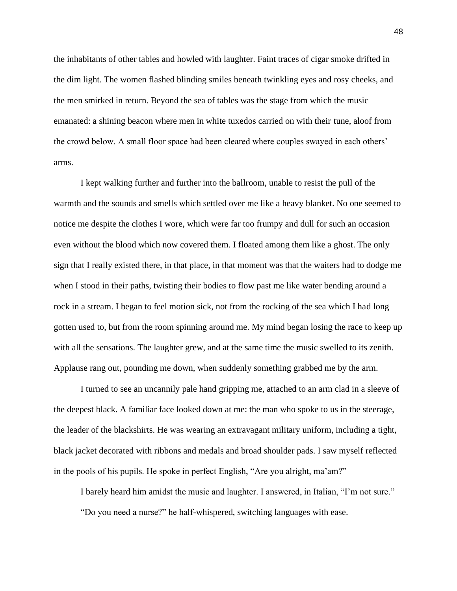the inhabitants of other tables and howled with laughter. Faint traces of cigar smoke drifted in the dim light. The women flashed blinding smiles beneath twinkling eyes and rosy cheeks, and the men smirked in return. Beyond the sea of tables was the stage from which the music emanated: a shining beacon where men in white tuxedos carried on with their tune, aloof from the crowd below. A small floor space had been cleared where couples swayed in each others' arms.

I kept walking further and further into the ballroom, unable to resist the pull of the warmth and the sounds and smells which settled over me like a heavy blanket. No one seemed to notice me despite the clothes I wore, which were far too frumpy and dull for such an occasion even without the blood which now covered them. I floated among them like a ghost. The only sign that I really existed there, in that place, in that moment was that the waiters had to dodge me when I stood in their paths, twisting their bodies to flow past me like water bending around a rock in a stream. I began to feel motion sick, not from the rocking of the sea which I had long gotten used to, but from the room spinning around me. My mind began losing the race to keep up with all the sensations. The laughter grew, and at the same time the music swelled to its zenith. Applause rang out, pounding me down, when suddenly something grabbed me by the arm.

I turned to see an uncannily pale hand gripping me, attached to an arm clad in a sleeve of the deepest black. A familiar face looked down at me: the man who spoke to us in the steerage, the leader of the blackshirts. He was wearing an extravagant military uniform, including a tight, black jacket decorated with ribbons and medals and broad shoulder pads. I saw myself reflected in the pools of his pupils. He spoke in perfect English, "Are you alright, ma'am?"

I barely heard him amidst the music and laughter. I answered, in Italian, "I'm not sure." "Do you need a nurse?" he half-whispered, switching languages with ease.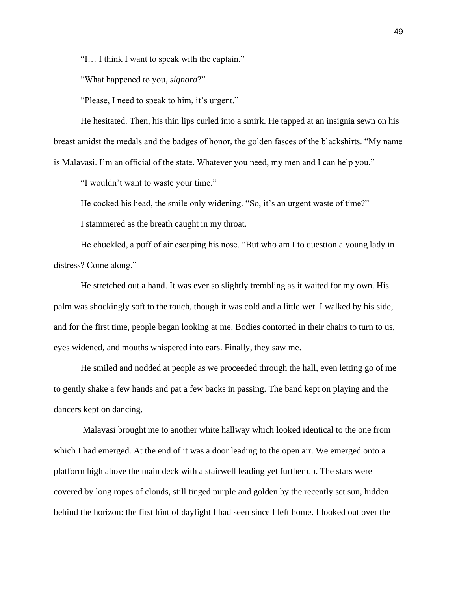"I… I think I want to speak with the captain."

"What happened to you, *signora*?"

"Please, I need to speak to him, it's urgent."

He hesitated. Then, his thin lips curled into a smirk. He tapped at an insignia sewn on his breast amidst the medals and the badges of honor, the golden fasces of the blackshirts. "My name is Malavasi. I'm an official of the state. Whatever you need, my men and I can help you."

"I wouldn't want to waste your time."

He cocked his head, the smile only widening. "So, it's an urgent waste of time?"

I stammered as the breath caught in my throat.

He chuckled, a puff of air escaping his nose. "But who am I to question a young lady in distress? Come along."

He stretched out a hand. It was ever so slightly trembling as it waited for my own. His palm was shockingly soft to the touch, though it was cold and a little wet. I walked by his side, and for the first time, people began looking at me. Bodies contorted in their chairs to turn to us, eyes widened, and mouths whispered into ears. Finally, they saw me.

He smiled and nodded at people as we proceeded through the hall, even letting go of me to gently shake a few hands and pat a few backs in passing. The band kept on playing and the dancers kept on dancing.

Malavasi brought me to another white hallway which looked identical to the one from which I had emerged. At the end of it was a door leading to the open air. We emerged onto a platform high above the main deck with a stairwell leading yet further up. The stars were covered by long ropes of clouds, still tinged purple and golden by the recently set sun, hidden behind the horizon: the first hint of daylight I had seen since I left home. I looked out over the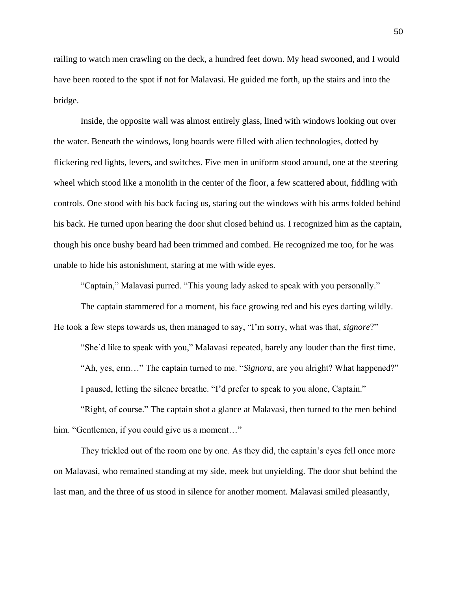railing to watch men crawling on the deck, a hundred feet down. My head swooned, and I would have been rooted to the spot if not for Malavasi. He guided me forth, up the stairs and into the bridge.

Inside, the opposite wall was almost entirely glass, lined with windows looking out over the water. Beneath the windows, long boards were filled with alien technologies, dotted by flickering red lights, levers, and switches. Five men in uniform stood around, one at the steering wheel which stood like a monolith in the center of the floor, a few scattered about, fiddling with controls. One stood with his back facing us, staring out the windows with his arms folded behind his back. He turned upon hearing the door shut closed behind us. I recognized him as the captain, though his once bushy beard had been trimmed and combed. He recognized me too, for he was unable to hide his astonishment, staring at me with wide eyes.

"Captain," Malavasi purred. "This young lady asked to speak with you personally."

The captain stammered for a moment, his face growing red and his eyes darting wildly. He took a few steps towards us, then managed to say, "I'm sorry, what was that, *signore*?"

"She'd like to speak with you," Malavasi repeated, barely any louder than the first time. "Ah, yes, erm…" The captain turned to me. "*Signora*, are you alright? What happened?" I paused, letting the silence breathe. "I'd prefer to speak to you alone, Captain."

"Right, of course." The captain shot a glance at Malavasi, then turned to the men behind him. "Gentlemen, if you could give us a moment..."

They trickled out of the room one by one. As they did, the captain's eyes fell once more on Malavasi, who remained standing at my side, meek but unyielding. The door shut behind the last man, and the three of us stood in silence for another moment. Malavasi smiled pleasantly,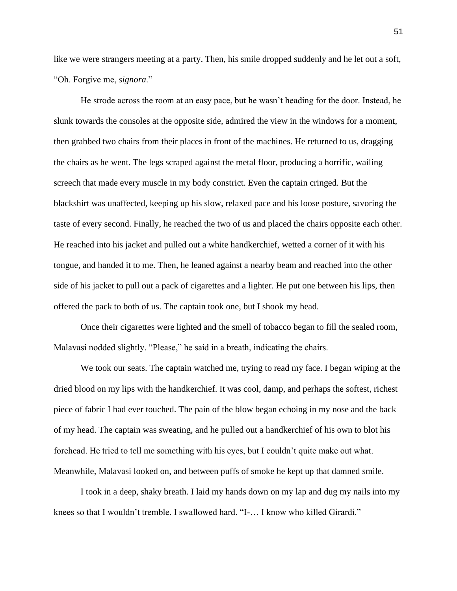like we were strangers meeting at a party. Then, his smile dropped suddenly and he let out a soft, "Oh. Forgive me, *signora*."

He strode across the room at an easy pace, but he wasn't heading for the door. Instead, he slunk towards the consoles at the opposite side, admired the view in the windows for a moment, then grabbed two chairs from their places in front of the machines. He returned to us, dragging the chairs as he went. The legs scraped against the metal floor, producing a horrific, wailing screech that made every muscle in my body constrict. Even the captain cringed. But the blackshirt was unaffected, keeping up his slow, relaxed pace and his loose posture, savoring the taste of every second. Finally, he reached the two of us and placed the chairs opposite each other. He reached into his jacket and pulled out a white handkerchief, wetted a corner of it with his tongue, and handed it to me. Then, he leaned against a nearby beam and reached into the other side of his jacket to pull out a pack of cigarettes and a lighter. He put one between his lips, then offered the pack to both of us. The captain took one, but I shook my head.

Once their cigarettes were lighted and the smell of tobacco began to fill the sealed room, Malavasi nodded slightly. "Please," he said in a breath, indicating the chairs.

We took our seats. The captain watched me, trying to read my face. I began wiping at the dried blood on my lips with the handkerchief. It was cool, damp, and perhaps the softest, richest piece of fabric I had ever touched. The pain of the blow began echoing in my nose and the back of my head. The captain was sweating, and he pulled out a handkerchief of his own to blot his forehead. He tried to tell me something with his eyes, but I couldn't quite make out what. Meanwhile, Malavasi looked on, and between puffs of smoke he kept up that damned smile.

I took in a deep, shaky breath. I laid my hands down on my lap and dug my nails into my knees so that I wouldn't tremble. I swallowed hard. "I-… I know who killed Girardi."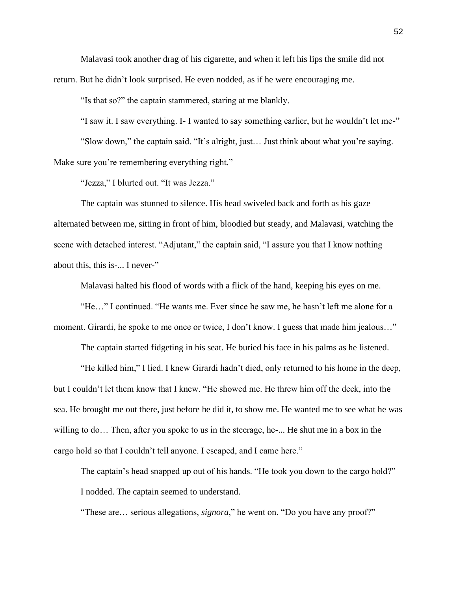Malavasi took another drag of his cigarette, and when it left his lips the smile did not return. But he didn't look surprised. He even nodded, as if he were encouraging me.

"Is that so?" the captain stammered, staring at me blankly.

"I saw it. I saw everything. I- I wanted to say something earlier, but he wouldn't let me-" "Slow down," the captain said. "It's alright, just… Just think about what you're saying. Make sure you're remembering everything right."

"Jezza," I blurted out. "It was Jezza."

The captain was stunned to silence. His head swiveled back and forth as his gaze alternated between me, sitting in front of him, bloodied but steady, and Malavasi, watching the scene with detached interest. "Adjutant," the captain said, "I assure you that I know nothing about this, this is-... I never-"

Malavasi halted his flood of words with a flick of the hand, keeping his eyes on me.

"He…" I continued. "He wants me. Ever since he saw me, he hasn't left me alone for a moment. Girardi, he spoke to me once or twice, I don't know. I guess that made him jealous..."

The captain started fidgeting in his seat. He buried his face in his palms as he listened.

"He killed him," I lied. I knew Girardi hadn't died, only returned to his home in the deep, but I couldn't let them know that I knew. "He showed me. He threw him off the deck, into the sea. He brought me out there, just before he did it, to show me. He wanted me to see what he was willing to do… Then, after you spoke to us in the steerage, he-... He shut me in a box in the cargo hold so that I couldn't tell anyone. I escaped, and I came here."

The captain's head snapped up out of his hands. "He took you down to the cargo hold?" I nodded. The captain seemed to understand.

"These are… serious allegations, *signora*," he went on. "Do you have any proof?"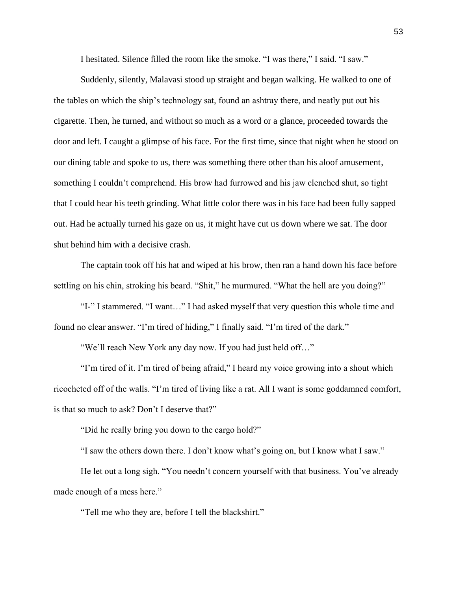I hesitated. Silence filled the room like the smoke. "I was there," I said. "I saw."

Suddenly, silently, Malavasi stood up straight and began walking. He walked to one of the tables on which the ship's technology sat, found an ashtray there, and neatly put out his cigarette. Then, he turned, and without so much as a word or a glance, proceeded towards the door and left. I caught a glimpse of his face. For the first time, since that night when he stood on our dining table and spoke to us, there was something there other than his aloof amusement, something I couldn't comprehend. His brow had furrowed and his jaw clenched shut, so tight that I could hear his teeth grinding. What little color there was in his face had been fully sapped out. Had he actually turned his gaze on us, it might have cut us down where we sat. The door shut behind him with a decisive crash.

The captain took off his hat and wiped at his brow, then ran a hand down his face before settling on his chin, stroking his beard. "Shit," he murmured. "What the hell are you doing?"

"I-" I stammered. "I want…" I had asked myself that very question this whole time and found no clear answer. "I'm tired of hiding," I finally said. "I'm tired of the dark."

"We'll reach New York any day now. If you had just held off…"

"I'm tired of it. I'm tired of being afraid," I heard my voice growing into a shout which ricocheted off of the walls. "I'm tired of living like a rat. All I want is some goddamned comfort, is that so much to ask? Don't I deserve that?"

"Did he really bring you down to the cargo hold?"

"I saw the others down there. I don't know what's going on, but I know what I saw."

He let out a long sigh. "You needn't concern yourself with that business. You've already made enough of a mess here."

"Tell me who they are, before I tell the blackshirt."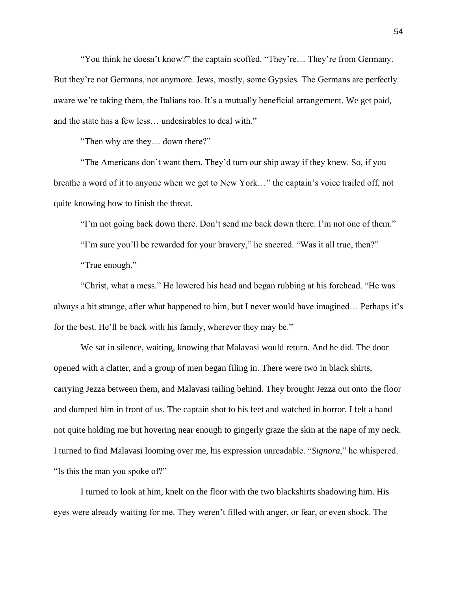"You think he doesn't know?" the captain scoffed. "They're… They're from Germany. But they're not Germans, not anymore. Jews, mostly, some Gypsies. The Germans are perfectly aware we're taking them, the Italians too. It's a mutually beneficial arrangement. We get paid, and the state has a few less… undesirables to deal with."

"Then why are they… down there?"

"The Americans don't want them. They'd turn our ship away if they knew. So, if you breathe a word of it to anyone when we get to New York…" the captain's voice trailed off, not quite knowing how to finish the threat.

"I'm not going back down there. Don't send me back down there. I'm not one of them."

"I'm sure you'll be rewarded for your bravery," he sneered. "Was it all true, then?"

"True enough."

"Christ, what a mess." He lowered his head and began rubbing at his forehead. "He was always a bit strange, after what happened to him, but I never would have imagined… Perhaps it's for the best. He'll be back with his family, wherever they may be."

We sat in silence, waiting, knowing that Malavasi would return. And he did. The door opened with a clatter, and a group of men began filing in. There were two in black shirts, carrying Jezza between them, and Malavasi tailing behind. They brought Jezza out onto the floor and dumped him in front of us. The captain shot to his feet and watched in horror. I felt a hand not quite holding me but hovering near enough to gingerly graze the skin at the nape of my neck. I turned to find Malavasi looming over me, his expression unreadable. "*Signora*," he whispered. "Is this the man you spoke of?"

I turned to look at him, knelt on the floor with the two blackshirts shadowing him. His eyes were already waiting for me. They weren't filled with anger, or fear, or even shock. The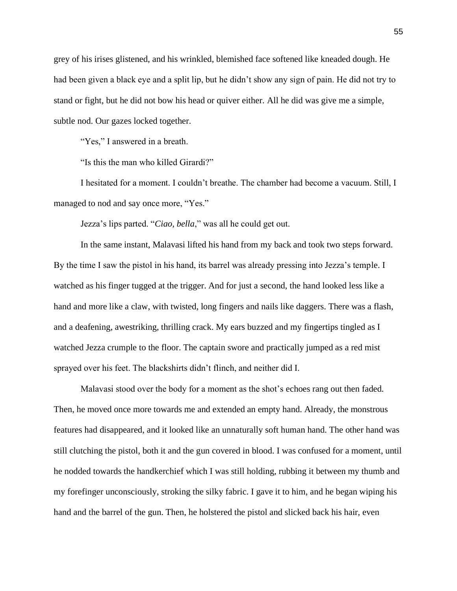grey of his irises glistened, and his wrinkled, blemished face softened like kneaded dough. He had been given a black eye and a split lip, but he didn't show any sign of pain. He did not try to stand or fight, but he did not bow his head or quiver either. All he did was give me a simple, subtle nod. Our gazes locked together.

"Yes," I answered in a breath.

"Is this the man who killed Girardi?"

I hesitated for a moment. I couldn't breathe. The chamber had become a vacuum. Still, I managed to nod and say once more, "Yes."

Jezza's lips parted. "*Ciao, bella*," was all he could get out.

In the same instant, Malavasi lifted his hand from my back and took two steps forward. By the time I saw the pistol in his hand, its barrel was already pressing into Jezza's temple. I watched as his finger tugged at the trigger. And for just a second, the hand looked less like a hand and more like a claw, with twisted, long fingers and nails like daggers. There was a flash, and a deafening, awestriking, thrilling crack. My ears buzzed and my fingertips tingled as I watched Jezza crumple to the floor. The captain swore and practically jumped as a red mist sprayed over his feet. The blackshirts didn't flinch, and neither did I.

Malavasi stood over the body for a moment as the shot's echoes rang out then faded. Then, he moved once more towards me and extended an empty hand. Already, the monstrous features had disappeared, and it looked like an unnaturally soft human hand. The other hand was still clutching the pistol, both it and the gun covered in blood. I was confused for a moment, until he nodded towards the handkerchief which I was still holding, rubbing it between my thumb and my forefinger unconsciously, stroking the silky fabric. I gave it to him, and he began wiping his hand and the barrel of the gun. Then, he holstered the pistol and slicked back his hair, even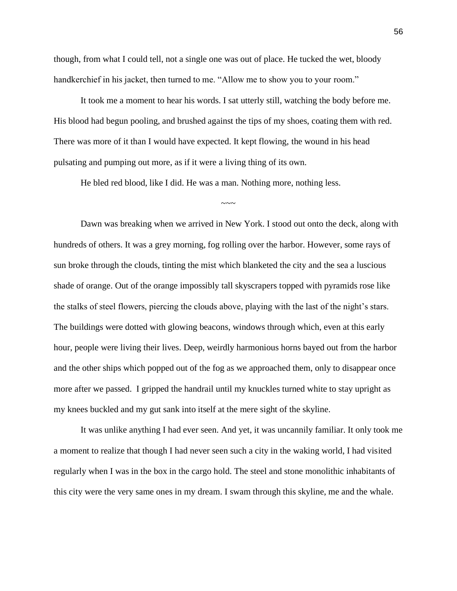though, from what I could tell, not a single one was out of place. He tucked the wet, bloody handkerchief in his jacket, then turned to me. "Allow me to show you to your room."

It took me a moment to hear his words. I sat utterly still, watching the body before me. His blood had begun pooling, and brushed against the tips of my shoes, coating them with red. There was more of it than I would have expected. It kept flowing, the wound in his head pulsating and pumping out more, as if it were a living thing of its own.

 $\sim\sim\sim$ 

He bled red blood, like I did. He was a man. Nothing more, nothing less.

Dawn was breaking when we arrived in New York. I stood out onto the deck, along with hundreds of others. It was a grey morning, fog rolling over the harbor. However, some rays of sun broke through the clouds, tinting the mist which blanketed the city and the sea a luscious shade of orange. Out of the orange impossibly tall skyscrapers topped with pyramids rose like the stalks of steel flowers, piercing the clouds above, playing with the last of the night's stars. The buildings were dotted with glowing beacons, windows through which, even at this early hour, people were living their lives. Deep, weirdly harmonious horns bayed out from the harbor and the other ships which popped out of the fog as we approached them, only to disappear once more after we passed. I gripped the handrail until my knuckles turned white to stay upright as my knees buckled and my gut sank into itself at the mere sight of the skyline.

It was unlike anything I had ever seen. And yet, it was uncannily familiar. It only took me a moment to realize that though I had never seen such a city in the waking world, I had visited regularly when I was in the box in the cargo hold. The steel and stone monolithic inhabitants of this city were the very same ones in my dream. I swam through this skyline, me and the whale.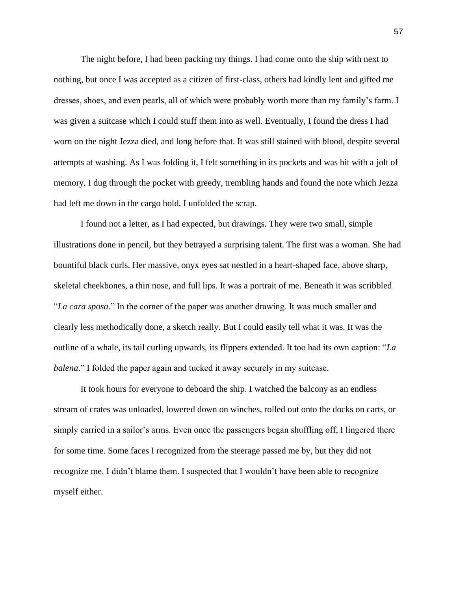The night before, I had been packing my things. I had come onto the ship with next to nothing, but once I was accepted as a citizen of first-class, others had kindly lent and gifted me dresses, shoes, and even pearls, all of which were probably worth more than my family's farm. I was given a suitcase which I could stuff them into as well. Eventually, I found the dress I had worn on the night Jezza died, and long before that. It was still stained with blood, despite several attempts at washing. As I was folding it, I felt something in its pockets and was hit with a jolt of memory. I dug through the pocket with greedy, trembling hands and found the note which Jezza had left me down in the cargo hold. I unfolded the scrap.

I found not a letter, as I had expected, but drawings. They were two small, simple illustrations done in pencil, but they betrayed a surprising talent. The first was a woman. She had bountiful black curls. Her massive, onyx eyes sat nestled in a heart-shaped face, above sharp, skeletal cheekbones, a thin nose, and full lips. It was a portrait of me. Beneath it was scribbled "*La cara sposa*." In the corner of the paper was another drawing. It was much smaller and clearly less methodically done, a sketch really. But I could easily tell what it was. It was the outline of a whale, its tail curling upwards, its flippers extended. It too had its own caption: "*La balena*." I folded the paper again and tucked it away securely in my suitcase.

It took hours for everyone to deboard the ship. I watched the balcony as an endless stream of crates was unloaded, lowered down on winches, rolled out onto the docks on carts, or simply carried in a sailor's arms. Even once the passengers began shuffling off, I lingered there for some time. Some faces I recognized from the steerage passed me by, but they did not recognize me. I didn't blame them. I suspected that I wouldn't have been able to recognize myself either.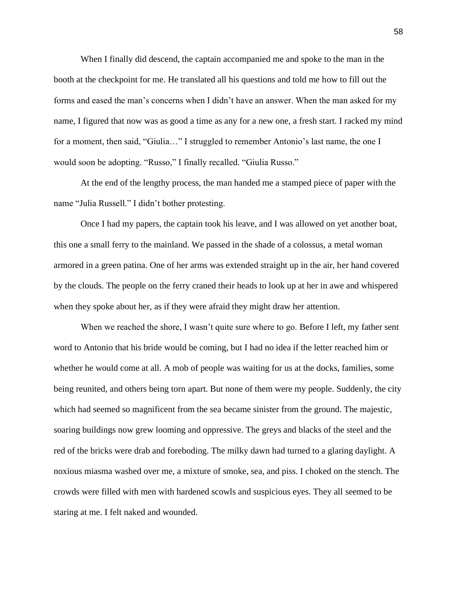When I finally did descend, the captain accompanied me and spoke to the man in the booth at the checkpoint for me. He translated all his questions and told me how to fill out the forms and eased the man's concerns when I didn't have an answer. When the man asked for my name, I figured that now was as good a time as any for a new one, a fresh start. I racked my mind for a moment, then said, "Giulia…" I struggled to remember Antonio's last name, the one I would soon be adopting. "Russo," I finally recalled. "Giulia Russo."

At the end of the lengthy process, the man handed me a stamped piece of paper with the name "Julia Russell." I didn't bother protesting.

Once I had my papers, the captain took his leave, and I was allowed on yet another boat, this one a small ferry to the mainland. We passed in the shade of a colossus, a metal woman armored in a green patina. One of her arms was extended straight up in the air, her hand covered by the clouds. The people on the ferry craned their heads to look up at her in awe and whispered when they spoke about her, as if they were afraid they might draw her attention.

When we reached the shore, I wasn't quite sure where to go. Before I left, my father sent word to Antonio that his bride would be coming, but I had no idea if the letter reached him or whether he would come at all. A mob of people was waiting for us at the docks, families, some being reunited, and others being torn apart. But none of them were my people. Suddenly, the city which had seemed so magnificent from the sea became sinister from the ground. The majestic, soaring buildings now grew looming and oppressive. The greys and blacks of the steel and the red of the bricks were drab and foreboding. The milky dawn had turned to a glaring daylight. A noxious miasma washed over me, a mixture of smoke, sea, and piss. I choked on the stench. The crowds were filled with men with hardened scowls and suspicious eyes. They all seemed to be staring at me. I felt naked and wounded.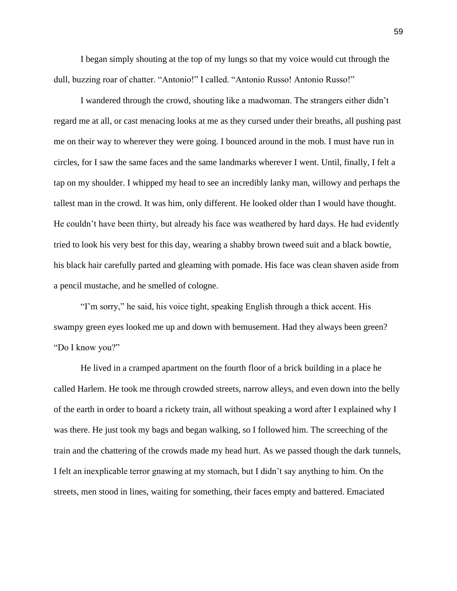I began simply shouting at the top of my lungs so that my voice would cut through the dull, buzzing roar of chatter. "Antonio!" I called. "Antonio Russo! Antonio Russo!"

I wandered through the crowd, shouting like a madwoman. The strangers either didn't regard me at all, or cast menacing looks at me as they cursed under their breaths, all pushing past me on their way to wherever they were going. I bounced around in the mob. I must have run in circles, for I saw the same faces and the same landmarks wherever I went. Until, finally, I felt a tap on my shoulder. I whipped my head to see an incredibly lanky man, willowy and perhaps the tallest man in the crowd. It was him, only different. He looked older than I would have thought. He couldn't have been thirty, but already his face was weathered by hard days. He had evidently tried to look his very best for this day, wearing a shabby brown tweed suit and a black bowtie, his black hair carefully parted and gleaming with pomade. His face was clean shaven aside from a pencil mustache, and he smelled of cologne.

"I'm sorry," he said, his voice tight, speaking English through a thick accent. His swampy green eyes looked me up and down with bemusement. Had they always been green? "Do I know you?"

He lived in a cramped apartment on the fourth floor of a brick building in a place he called Harlem. He took me through crowded streets, narrow alleys, and even down into the belly of the earth in order to board a rickety train, all without speaking a word after I explained why I was there. He just took my bags and began walking, so I followed him. The screeching of the train and the chattering of the crowds made my head hurt. As we passed though the dark tunnels, I felt an inexplicable terror gnawing at my stomach, but I didn't say anything to him. On the streets, men stood in lines, waiting for something, their faces empty and battered. Emaciated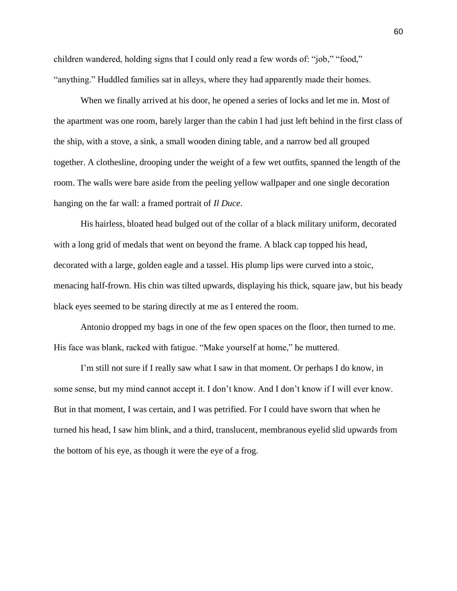children wandered, holding signs that I could only read a few words of: "job," "food," "anything." Huddled families sat in alleys, where they had apparently made their homes.

When we finally arrived at his door, he opened a series of locks and let me in. Most of the apartment was one room, barely larger than the cabin I had just left behind in the first class of the ship, with a stove, a sink, a small wooden dining table, and a narrow bed all grouped together. A clothesline, drooping under the weight of a few wet outfits, spanned the length of the room. The walls were bare aside from the peeling yellow wallpaper and one single decoration hanging on the far wall: a framed portrait of *Il Duce*.

His hairless, bloated head bulged out of the collar of a black military uniform, decorated with a long grid of medals that went on beyond the frame. A black cap topped his head, decorated with a large, golden eagle and a tassel. His plump lips were curved into a stoic, menacing half-frown. His chin was tilted upwards, displaying his thick, square jaw, but his beady black eyes seemed to be staring directly at me as I entered the room.

Antonio dropped my bags in one of the few open spaces on the floor, then turned to me. His face was blank, racked with fatigue. "Make yourself at home," he muttered.

I'm still not sure if I really saw what I saw in that moment. Or perhaps I do know, in some sense, but my mind cannot accept it. I don't know. And I don't know if I will ever know. But in that moment, I was certain, and I was petrified. For I could have sworn that when he turned his head, I saw him blink, and a third, translucent, membranous eyelid slid upwards from the bottom of his eye, as though it were the eye of a frog.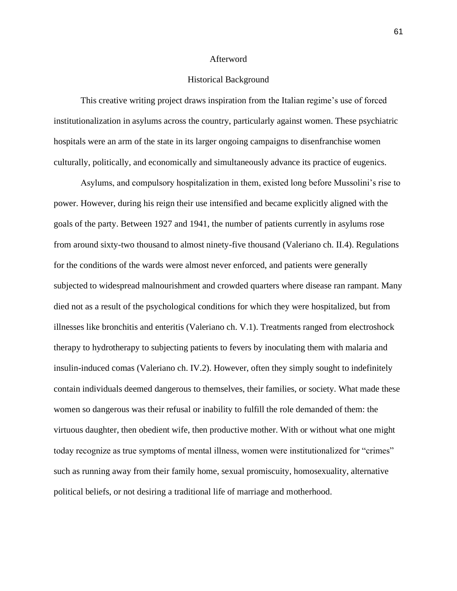## Afterword

## Historical Background

This creative writing project draws inspiration from the Italian regime's use of forced institutionalization in asylums across the country, particularly against women. These psychiatric hospitals were an arm of the state in its larger ongoing campaigns to disenfranchise women culturally, politically, and economically and simultaneously advance its practice of eugenics.

Asylums, and compulsory hospitalization in them, existed long before Mussolini's rise to power. However, during his reign their use intensified and became explicitly aligned with the goals of the party. Between 1927 and 1941, the number of patients currently in asylums rose from around sixty-two thousand to almost ninety-five thousand (Valeriano ch. II.4). Regulations for the conditions of the wards were almost never enforced, and patients were generally subjected to widespread malnourishment and crowded quarters where disease ran rampant. Many died not as a result of the psychological conditions for which they were hospitalized, but from illnesses like bronchitis and enteritis (Valeriano ch. V.1). Treatments ranged from electroshock therapy to hydrotherapy to subjecting patients to fevers by inoculating them with malaria and insulin-induced comas (Valeriano ch. IV.2). However, often they simply sought to indefinitely contain individuals deemed dangerous to themselves, their families, or society. What made these women so dangerous was their refusal or inability to fulfill the role demanded of them: the virtuous daughter, then obedient wife, then productive mother. With or without what one might today recognize as true symptoms of mental illness, women were institutionalized for "crimes" such as running away from their family home, sexual promiscuity, homosexuality, alternative political beliefs, or not desiring a traditional life of marriage and motherhood.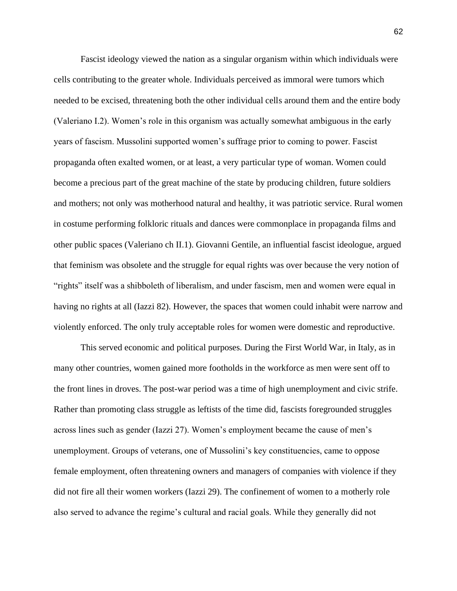Fascist ideology viewed the nation as a singular organism within which individuals were cells contributing to the greater whole. Individuals perceived as immoral were tumors which needed to be excised, threatening both the other individual cells around them and the entire body (Valeriano I.2). Women's role in this organism was actually somewhat ambiguous in the early years of fascism. Mussolini supported women's suffrage prior to coming to power. Fascist propaganda often exalted women, or at least, a very particular type of woman. Women could become a precious part of the great machine of the state by producing children, future soldiers and mothers; not only was motherhood natural and healthy, it was patriotic service. Rural women in costume performing folkloric rituals and dances were commonplace in propaganda films and other public spaces (Valeriano ch II.1). Giovanni Gentile, an influential fascist ideologue, argued that feminism was obsolete and the struggle for equal rights was over because the very notion of "rights" itself was a shibboleth of liberalism, and under fascism, men and women were equal in having no rights at all (Iazzi 82). However, the spaces that women could inhabit were narrow and violently enforced. The only truly acceptable roles for women were domestic and reproductive.

This served economic and political purposes. During the First World War, in Italy, as in many other countries, women gained more footholds in the workforce as men were sent off to the front lines in droves. The post-war period was a time of high unemployment and civic strife. Rather than promoting class struggle as leftists of the time did, fascists foregrounded struggles across lines such as gender (Iazzi 27). Women's employment became the cause of men's unemployment. Groups of veterans, one of Mussolini's key constituencies, came to oppose female employment, often threatening owners and managers of companies with violence if they did not fire all their women workers (Iazzi 29). The confinement of women to a motherly role also served to advance the regime's cultural and racial goals. While they generally did not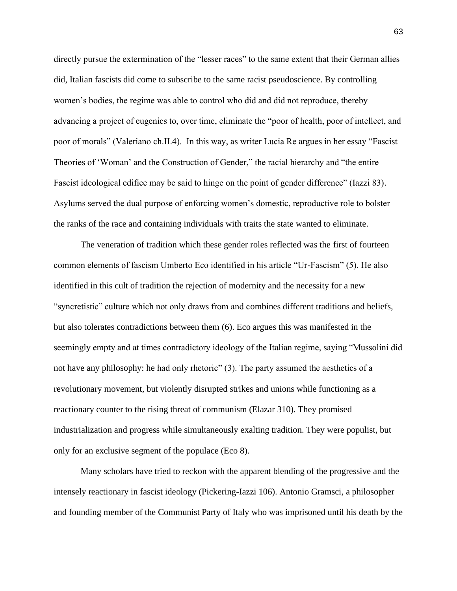directly pursue the extermination of the "lesser races" to the same extent that their German allies did, Italian fascists did come to subscribe to the same racist pseudoscience. By controlling women's bodies, the regime was able to control who did and did not reproduce, thereby advancing a project of eugenics to, over time, eliminate the "poor of health, poor of intellect, and poor of morals" (Valeriano ch.II.4). In this way, as writer Lucia Re argues in her essay "Fascist Theories of 'Woman' and the Construction of Gender," the racial hierarchy and "the entire Fascist ideological edifice may be said to hinge on the point of gender difference" (Iazzi 83). Asylums served the dual purpose of enforcing women's domestic, reproductive role to bolster the ranks of the race and containing individuals with traits the state wanted to eliminate.

The veneration of tradition which these gender roles reflected was the first of fourteen common elements of fascism Umberto Eco identified in his article "Ur-Fascism" (5). He also identified in this cult of tradition the rejection of modernity and the necessity for a new "syncretistic" culture which not only draws from and combines different traditions and beliefs, but also tolerates contradictions between them (6). Eco argues this was manifested in the seemingly empty and at times contradictory ideology of the Italian regime, saying "Mussolini did not have any philosophy: he had only rhetoric" (3). The party assumed the aesthetics of a revolutionary movement, but violently disrupted strikes and unions while functioning as a reactionary counter to the rising threat of communism (Elazar 310). They promised industrialization and progress while simultaneously exalting tradition. They were populist, but only for an exclusive segment of the populace (Eco 8).

Many scholars have tried to reckon with the apparent blending of the progressive and the intensely reactionary in fascist ideology (Pickering-Iazzi 106). Antonio Gramsci, a philosopher and founding member of the Communist Party of Italy who was imprisoned until his death by the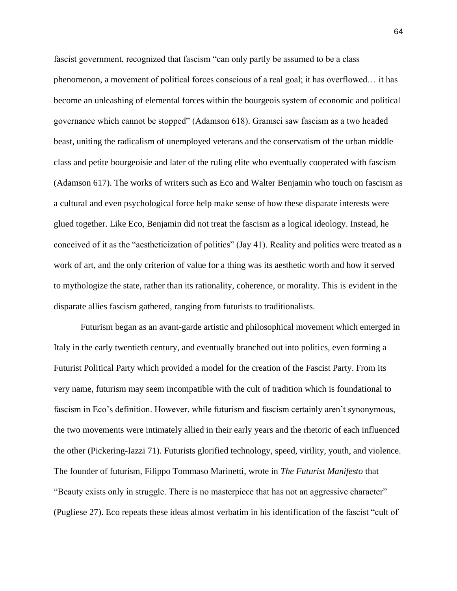fascist government, recognized that fascism "can only partly be assumed to be a class phenomenon, a movement of political forces conscious of a real goal; it has overflowed… it has become an unleashing of elemental forces within the bourgeois system of economic and political governance which cannot be stopped" (Adamson 618). Gramsci saw fascism as a two headed beast, uniting the radicalism of unemployed veterans and the conservatism of the urban middle class and petite bourgeoisie and later of the ruling elite who eventually cooperated with fascism (Adamson 617). The works of writers such as Eco and Walter Benjamin who touch on fascism as a cultural and even psychological force help make sense of how these disparate interests were glued together. Like Eco, Benjamin did not treat the fascism as a logical ideology. Instead, he conceived of it as the "aestheticization of politics" (Jay 41). Reality and politics were treated as a work of art, and the only criterion of value for a thing was its aesthetic worth and how it served to mythologize the state, rather than its rationality, coherence, or morality. This is evident in the disparate allies fascism gathered, ranging from futurists to traditionalists.

Futurism began as an avant-garde artistic and philosophical movement which emerged in Italy in the early twentieth century, and eventually branched out into politics, even forming a Futurist Political Party which provided a model for the creation of the Fascist Party. From its very name, futurism may seem incompatible with the cult of tradition which is foundational to fascism in Eco's definition. However, while futurism and fascism certainly aren't synonymous, the two movements were intimately allied in their early years and the rhetoric of each influenced the other (Pickering-Iazzi 71). Futurists glorified technology, speed, virility, youth, and violence. The founder of futurism, Filippo Tommaso Marinetti, wrote in *The Futurist Manifesto* that "Beauty exists only in struggle. There is no masterpiece that has not an aggressive character" (Pugliese 27). Eco repeats these ideas almost verbatim in his identification of the fascist "cult of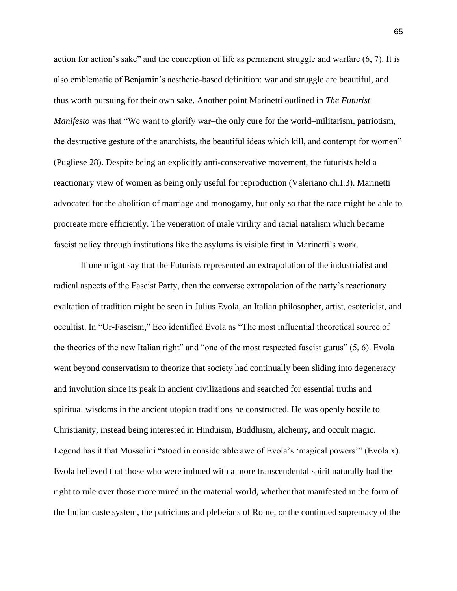action for action's sake" and the conception of life as permanent struggle and warfare (6, 7). It is also emblematic of Benjamin's aesthetic-based definition: war and struggle are beautiful, and thus worth pursuing for their own sake. Another point Marinetti outlined in *The Futurist Manifesto* was that "We want to glorify war–the only cure for the world–militarism, patriotism, the destructive gesture of the anarchists, the beautiful ideas which kill, and contempt for women" (Pugliese 28). Despite being an explicitly anti-conservative movement, the futurists held a reactionary view of women as being only useful for reproduction (Valeriano ch.I.3). Marinetti advocated for the abolition of marriage and monogamy, but only so that the race might be able to procreate more efficiently. The veneration of male virility and racial natalism which became fascist policy through institutions like the asylums is visible first in Marinetti's work.

If one might say that the Futurists represented an extrapolation of the industrialist and radical aspects of the Fascist Party, then the converse extrapolation of the party's reactionary exaltation of tradition might be seen in Julius Evola, an Italian philosopher, artist, esotericist, and occultist. In "Ur-Fascism," Eco identified Evola as "The most influential theoretical source of the theories of the new Italian right" and "one of the most respected fascist gurus" (5, 6). Evola went beyond conservatism to theorize that society had continually been sliding into degeneracy and involution since its peak in ancient civilizations and searched for essential truths and spiritual wisdoms in the ancient utopian traditions he constructed. He was openly hostile to Christianity, instead being interested in Hinduism, Buddhism, alchemy, and occult magic. Legend has it that Mussolini "stood in considerable awe of Evola's 'magical powers'" (Evola x). Evola believed that those who were imbued with a more transcendental spirit naturally had the right to rule over those more mired in the material world, whether that manifested in the form of the Indian caste system, the patricians and plebeians of Rome, or the continued supremacy of the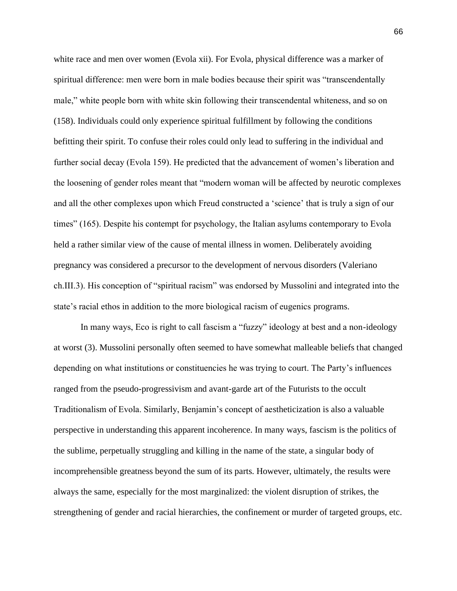white race and men over women (Evola xii). For Evola, physical difference was a marker of spiritual difference: men were born in male bodies because their spirit was "transcendentally male," white people born with white skin following their transcendental whiteness, and so on (158). Individuals could only experience spiritual fulfillment by following the conditions befitting their spirit. To confuse their roles could only lead to suffering in the individual and further social decay (Evola 159). He predicted that the advancement of women's liberation and the loosening of gender roles meant that "modern woman will be affected by neurotic complexes and all the other complexes upon which Freud constructed a 'science' that is truly a sign of our times" (165). Despite his contempt for psychology, the Italian asylums contemporary to Evola held a rather similar view of the cause of mental illness in women. Deliberately avoiding pregnancy was considered a precursor to the development of nervous disorders (Valeriano ch.III.3). His conception of "spiritual racism" was endorsed by Mussolini and integrated into the state's racial ethos in addition to the more biological racism of eugenics programs.

In many ways, Eco is right to call fascism a "fuzzy" ideology at best and a non-ideology at worst (3). Mussolini personally often seemed to have somewhat malleable beliefs that changed depending on what institutions or constituencies he was trying to court. The Party's influences ranged from the pseudo-progressivism and avant-garde art of the Futurists to the occult Traditionalism of Evola. Similarly, Benjamin's concept of aestheticization is also a valuable perspective in understanding this apparent incoherence. In many ways, fascism is the politics of the sublime, perpetually struggling and killing in the name of the state, a singular body of incomprehensible greatness beyond the sum of its parts. However, ultimately, the results were always the same, especially for the most marginalized: the violent disruption of strikes, the strengthening of gender and racial hierarchies, the confinement or murder of targeted groups, etc.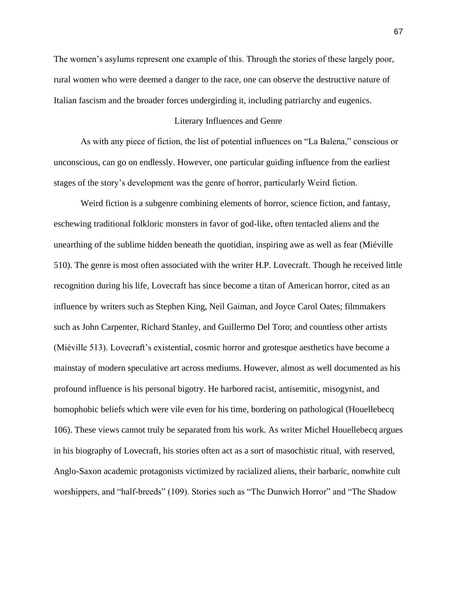The women's asylums represent one example of this. Through the stories of these largely poor, rural women who were deemed a danger to the race, one can observe the destructive nature of Italian fascism and the broader forces undergirding it, including patriarchy and eugenics.

## Literary Influences and Genre

As with any piece of fiction, the list of potential influences on "La Balena," conscious or unconscious, can go on endlessly. However, one particular guiding influence from the earliest stages of the story's development was the genre of horror, particularly Weird fiction.

Weird fiction is a subgenre combining elements of horror, science fiction, and fantasy, eschewing traditional folkloric monsters in favor of god-like, often tentacled aliens and the unearthing of the sublime hidden beneath the quotidian, inspiring awe as well as fear (Miéville 510). The genre is most often associated with the writer H.P. Lovecraft. Though he received little recognition during his life, Lovecraft has since become a titan of American horror, cited as an influence by writers such as Stephen King, Neil Gaiman, and Joyce Carol Oates; filmmakers such as John Carpenter, Richard Stanley, and Guillermo Del Toro; and countless other artists (Miéville 513). Lovecraft's existential, cosmic horror and grotesque aesthetics have become a mainstay of modern speculative art across mediums. However, almost as well documented as his profound influence is his personal bigotry. He harbored racist, antisemitic, misogynist, and homophobic beliefs which were vile even for his time, bordering on pathological (Houellebecq 106). These views cannot truly be separated from his work. As writer Michel Houellebecq argues in his biography of Lovecraft, his stories often act as a sort of masochistic ritual, with reserved, Anglo-Saxon academic protagonists victimized by racialized aliens, their barbaric, nonwhite cult worshippers, and "half-breeds" (109). Stories such as "The Dunwich Horror" and "The Shadow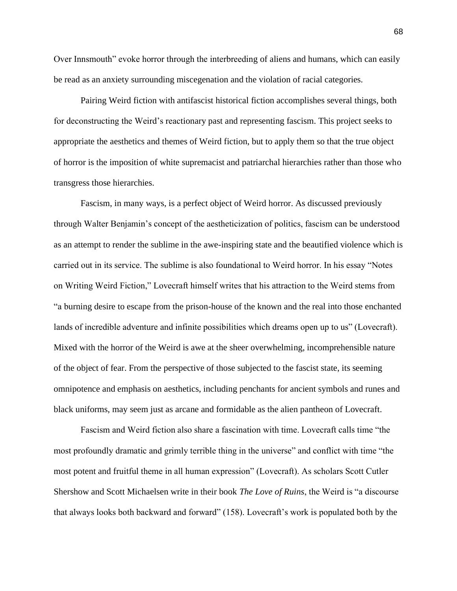Over Innsmouth" evoke horror through the interbreeding of aliens and humans, which can easily be read as an anxiety surrounding miscegenation and the violation of racial categories.

Pairing Weird fiction with antifascist historical fiction accomplishes several things, both for deconstructing the Weird's reactionary past and representing fascism. This project seeks to appropriate the aesthetics and themes of Weird fiction, but to apply them so that the true object of horror is the imposition of white supremacist and patriarchal hierarchies rather than those who transgress those hierarchies.

Fascism, in many ways, is a perfect object of Weird horror. As discussed previously through Walter Benjamin's concept of the aestheticization of politics, fascism can be understood as an attempt to render the sublime in the awe-inspiring state and the beautified violence which is carried out in its service. The sublime is also foundational to Weird horror. In his essay "Notes on Writing Weird Fiction," Lovecraft himself writes that his attraction to the Weird stems from "a burning desire to escape from the prison-house of the known and the real into those enchanted lands of incredible adventure and infinite possibilities which dreams open up to us" (Lovecraft). Mixed with the horror of the Weird is awe at the sheer overwhelming, incomprehensible nature of the object of fear. From the perspective of those subjected to the fascist state, its seeming omnipotence and emphasis on aesthetics, including penchants for ancient symbols and runes and black uniforms, may seem just as arcane and formidable as the alien pantheon of Lovecraft.

Fascism and Weird fiction also share a fascination with time. Lovecraft calls time "the most profoundly dramatic and grimly terrible thing in the universe" and conflict with time "the most potent and fruitful theme in all human expression" (Lovecraft). As scholars Scott Cutler Shershow and Scott Michaelsen write in their book *The Love of Ruins*, the Weird is "a discourse that always looks both backward and forward" (158). Lovecraft's work is populated both by the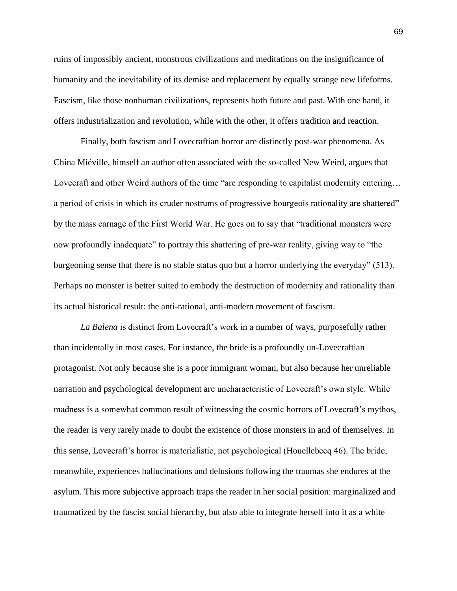ruins of impossibly ancient, monstrous civilizations and meditations on the insignificance of humanity and the inevitability of its demise and replacement by equally strange new lifeforms. Fascism, like those nonhuman civilizations, represents both future and past. With one hand, it offers industrialization and revolution, while with the other, it offers tradition and reaction.

Finally, both fascism and Lovecraftian horror are distinctly post-war phenomena. As China Miéville, himself an author often associated with the so-called New Weird, argues that Lovecraft and other Weird authors of the time "are responding to capitalist modernity entering… a period of crisis in which its cruder nostrums of progressive bourgeois rationality are shattered" by the mass carnage of the First World War. He goes on to say that "traditional monsters were now profoundly inadequate" to portray this shattering of pre-war reality, giving way to "the burgeoning sense that there is no stable status quo but a horror underlying the everyday" (513). Perhaps no monster is better suited to embody the destruction of modernity and rationality than its actual historical result: the anti-rational, anti-modern movement of fascism.

*La Balena* is distinct from Lovecraft's work in a number of ways, purposefully rather than incidentally in most cases. For instance, the bride is a profoundly un-Lovecraftian protagonist. Not only because she is a poor immigrant woman, but also because her unreliable narration and psychological development are uncharacteristic of Lovecraft's own style. While madness is a somewhat common result of witnessing the cosmic horrors of Lovecraft's mythos, the reader is very rarely made to doubt the existence of those monsters in and of themselves. In this sense, Lovecraft's horror is materialistic, not psychological (Houellebecq 46). The bride, meanwhile, experiences hallucinations and delusions following the traumas she endures at the asylum. This more subjective approach traps the reader in her social position: marginalized and traumatized by the fascist social hierarchy, but also able to integrate herself into it as a white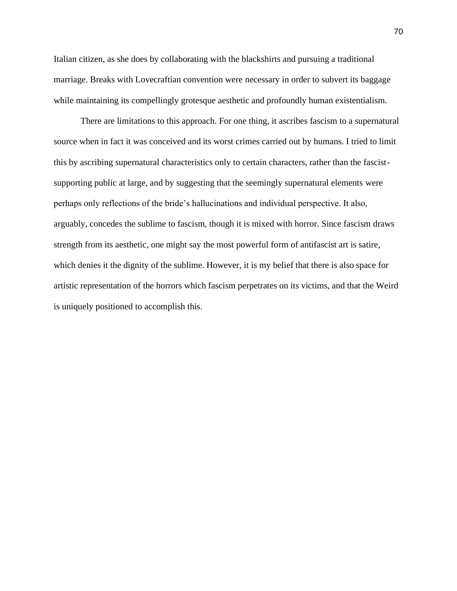Italian citizen, as she does by collaborating with the blackshirts and pursuing a traditional marriage. Breaks with Lovecraftian convention were necessary in order to subvert its baggage while maintaining its compellingly grotesque aesthetic and profoundly human existentialism.

There are limitations to this approach. For one thing, it ascribes fascism to a supernatural source when in fact it was conceived and its worst crimes carried out by humans. I tried to limit this by ascribing supernatural characteristics only to certain characters, rather than the fascistsupporting public at large, and by suggesting that the seemingly supernatural elements were perhaps only reflections of the bride's hallucinations and individual perspective. It also, arguably, concedes the sublime to fascism, though it is mixed with horror. Since fascism draws strength from its aesthetic, one might say the most powerful form of antifascist art is satire, which denies it the dignity of the sublime. However, it is my belief that there is also space for artistic representation of the horrors which fascism perpetrates on its victims, and that the Weird is uniquely positioned to accomplish this.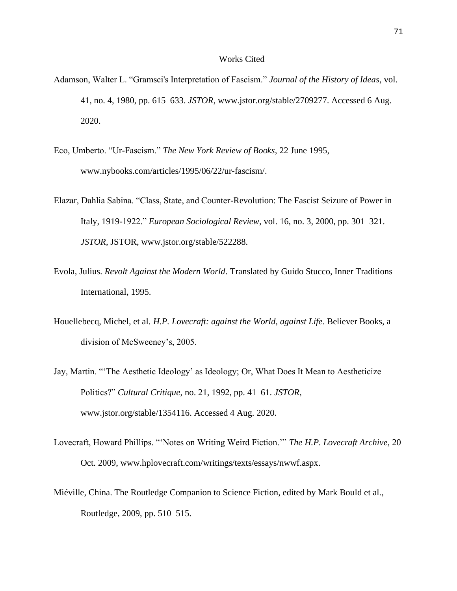## Works Cited

- Adamson, Walter L. "Gramsci's Interpretation of Fascism." *Journal of the History of Ideas*, vol. 41, no. 4, 1980, pp. 615–633. *JSTOR*, www.jstor.org/stable/2709277. Accessed 6 Aug. 2020.
- Eco, Umberto. "Ur-Fascism." *The New York Review of Books*, 22 June 1995, www.nybooks.com/articles/1995/06/22/ur-fascism/.
- Elazar, Dahlia Sabina. "Class, State, and Counter-Revolution: The Fascist Seizure of Power in Italy, 1919-1922." *European Sociological Review*, vol. 16, no. 3, 2000, pp. 301–321. *JSTOR*, JSTOR, www.jstor.org/stable/522288.
- Evola, Julius. *Revolt Against the Modern World*. Translated by Guido Stucco, Inner Traditions International, 1995.
- Houellebecq, Michel, et al. *H.P. Lovecraft: against the World, against Life*. Believer Books, a division of McSweeney's, 2005.
- Jay, Martin. "'The Aesthetic Ideology' as Ideology; Or, What Does It Mean to Aestheticize Politics?" *Cultural Critique*, no. 21, 1992, pp. 41–61. *JSTOR*, www.jstor.org/stable/1354116. Accessed 4 Aug. 2020.
- Lovecraft, Howard Phillips. "'Notes on Writing Weird Fiction.'" *The H.P. Lovecraft Archive*, 20 Oct. 2009, www.hplovecraft.com/writings/texts/essays/nwwf.aspx.
- Miéville, China. The Routledge Companion to Science Fiction, edited by Mark Bould et al., Routledge, 2009, pp. 510–515.